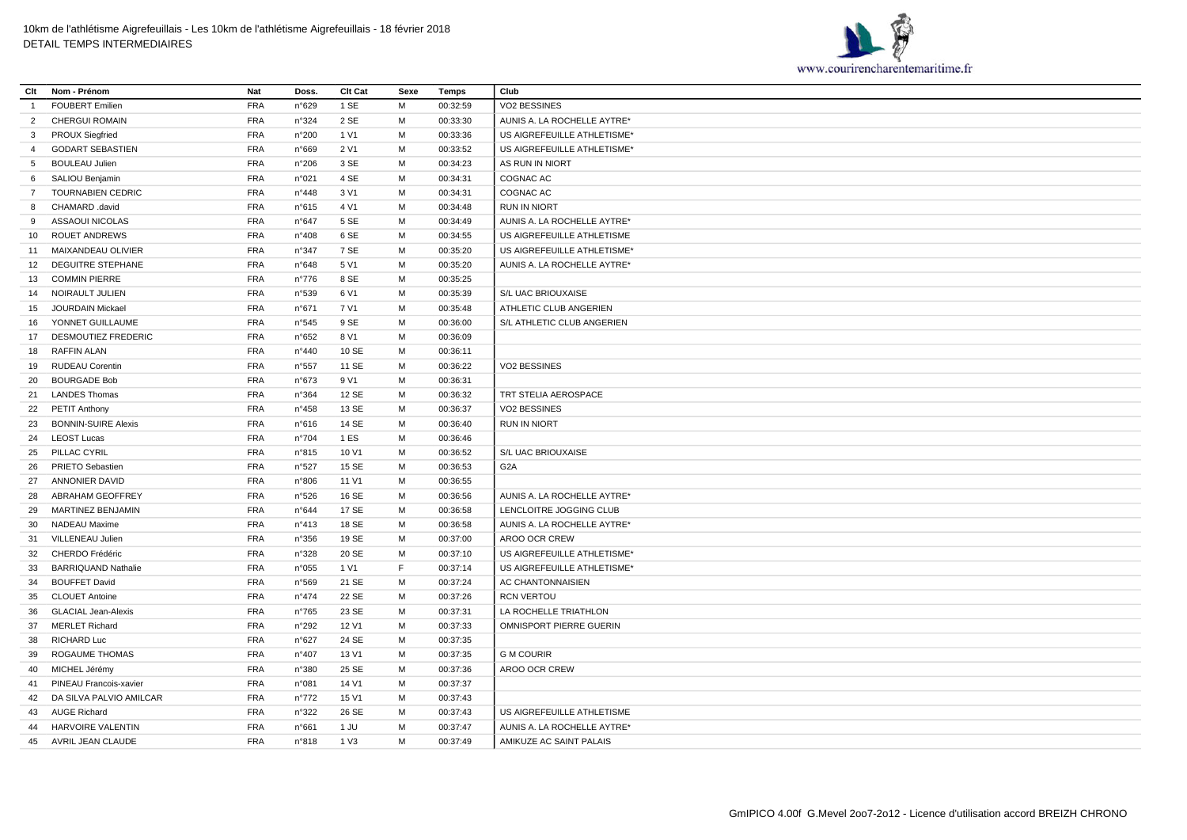

| Clt            | Nom - Prénom               | Nat        | Doss.          | CIt Cat         | Sexe        | Temps    | Club                        |
|----------------|----------------------------|------------|----------------|-----------------|-------------|----------|-----------------------------|
| $\overline{1}$ | <b>FOUBERT Emilien</b>     | <b>FRA</b> | n°629          | 1 SE            | M           | 00:32:59 | VO2 BESSINES                |
| 2              | <b>CHERGUI ROMAIN</b>      | <b>FRA</b> | n°324          | 2 SE            | M           | 00:33:30 | AUNIS A. LA ROCHELLE AYTRE* |
| 3              | <b>PROUX Siegfried</b>     | <b>FRA</b> | n°200          | 1 V1            | M           | 00:33:36 | US AIGREFEUILLE ATHLETISME* |
| $\overline{4}$ | <b>GODART SEBASTIEN</b>    | <b>FRA</b> | n°669          | 2 V1            | M           | 00:33:52 | US AIGREFEUILLE ATHLETISME* |
| 5              | <b>BOULEAU Julien</b>      | <b>FRA</b> | n°206          | 3 SE            | M           | 00:34:23 | AS RUN IN NIORT             |
| 6              | SALIOU Benjamin            | <b>FRA</b> | n°021          | 4 SE            | M           | 00:34:31 | COGNAC AC                   |
| $\overline{7}$ | <b>TOURNABIEN CEDRIC</b>   | <b>FRA</b> | n°448          | 3 V1            | M           | 00:34:31 | COGNAC AC                   |
| 8              | CHAMARD .david             | <b>FRA</b> | n°615          | 4 V1            | M           | 00:34:48 | <b>RUN IN NIORT</b>         |
| 9              | ASSAOUI NICOLAS            | <b>FRA</b> | n°647          | 5 SE            | M           | 00:34:49 | AUNIS A. LA ROCHELLE AYTRE* |
| 10             | <b>ROUET ANDREWS</b>       | <b>FRA</b> | n°408          | 6 SE            | M           | 00:34:55 | US AIGREFEUILLE ATHLETISME  |
| 11             | MAIXANDEAU OLIVIER         | <b>FRA</b> | n°347          | 7 SE            | M           | 00:35:20 | US AIGREFEUILLE ATHLETISME* |
| 12             | <b>DEGUITRE STEPHANE</b>   | <b>FRA</b> | n°648          | 5 V1            | M           | 00:35:20 | AUNIS A. LA ROCHELLE AYTRE* |
| 13             | <b>COMMIN PIERRE</b>       | <b>FRA</b> | $n^{\circ}776$ | 8 SE            | M           | 00:35:25 |                             |
| 14             | NOIRAULT JULIEN            | <b>FRA</b> | n°539          | 6 V1            | M           | 00:35:39 | S/L UAC BRIOUXAISE          |
| 15             | JOURDAIN Mickael           | <b>FRA</b> | n°671          | 7 V1            | M           | 00:35:48 | ATHLETIC CLUB ANGERIEN      |
| 16             | YONNET GUILLAUME           | <b>FRA</b> | n°545          | 9 SE            | M           | 00:36:00 | S/L ATHLETIC CLUB ANGERIEN  |
| 17             | <b>DESMOUTIEZ FREDERIC</b> | <b>FRA</b> | n°652          | 8 V1            | M           | 00:36:09 |                             |
| 18             | <b>RAFFIN ALAN</b>         | <b>FRA</b> | n°440          | 10 SE           | M           | 00:36:11 |                             |
| 19             | <b>RUDEAU Corentin</b>     | <b>FRA</b> | n°557          | 11 SE           | M           | 00:36:22 | VO2 BESSINES                |
| 20             | <b>BOURGADE Bob</b>        | <b>FRA</b> | n°673          | 9 V1            | M           | 00:36:31 |                             |
| 21             | <b>LANDES Thomas</b>       | <b>FRA</b> | n°364          | 12 SE           | M           | 00:36:32 | TRT STELIA AEROSPACE        |
| 22             | <b>PETIT Anthony</b>       | <b>FRA</b> | n°458          | 13 SE           | M           | 00:36:37 | VO2 BESSINES                |
| 23             | <b>BONNIN-SUIRE Alexis</b> | <b>FRA</b> | n°616          | 14 SE           | M           | 00:36:40 | <b>RUN IN NIORT</b>         |
| 24             | <b>LEOST Lucas</b>         | <b>FRA</b> | n°704          | 1 ES            | M           | 00:36:46 |                             |
| 25             | PILLAC CYRIL               | <b>FRA</b> | n°815          | 10 V1           | M           | 00:36:52 | S/L UAC BRIOUXAISE          |
| 26             | <b>PRIETO Sebastien</b>    | <b>FRA</b> | n°527          | 15 SE           | M           | 00:36:53 | G <sub>2</sub> A            |
| 27             | <b>ANNONIER DAVID</b>      | <b>FRA</b> | n°806          | 11 V1           | M           | 00:36:55 |                             |
| 28             | ABRAHAM GEOFFREY           | <b>FRA</b> | n°526          | 16 SE           | M           | 00:36:56 | AUNIS A. LA ROCHELLE AYTRE* |
| 29             | <b>MARTINEZ BENJAMIN</b>   | <b>FRA</b> | n°644          | 17 SE           | M           | 00:36:58 | LENCLOITRE JOGGING CLUB     |
| 30             | NADEAU Maxime              | <b>FRA</b> | n°413          | 18 SE           | M           | 00:36:58 | AUNIS A. LA ROCHELLE AYTRE* |
| 31             | VILLENEAU Julien           | <b>FRA</b> | n°356          | 19 SE           | M           | 00:37:00 | AROO OCR CREW               |
| 32             | CHERDO Frédéric            | <b>FRA</b> | n°328          | 20 SE           | M           | 00:37:10 | US AIGREFEUILLE ATHLETISME* |
| 33             | <b>BARRIQUAND Nathalie</b> | <b>FRA</b> | n°055          | 1 V1            | $\mathsf F$ | 00:37:14 | US AIGREFEUILLE ATHLETISME* |
| 34             | <b>BOUFFET David</b>       | <b>FRA</b> | n°569          | 21 SE           | M           | 00:37:24 | AC CHANTONNAISIEN           |
| 35             | <b>CLOUET Antoine</b>      | <b>FRA</b> | $n^{\circ}474$ | 22 SE           | M           | 00:37:26 | <b>RCN VERTOU</b>           |
| 36             | <b>GLACIAL Jean-Alexis</b> | <b>FRA</b> | $n^{\circ}765$ | 23 SE           | M           | 00:37:31 | LA ROCHELLE TRIATHLON       |
| 37             | <b>MERLET Richard</b>      | <b>FRA</b> | n°292          | 12 V1           | M           | 00:37:33 | OMNISPORT PIERRE GUERIN     |
| 38             | <b>RICHARD Luc</b>         | <b>FRA</b> | n°627          | 24 SE           | M           | 00:37:35 |                             |
| 39             | <b>ROGAUME THOMAS</b>      | <b>FRA</b> | $n^{\circ}407$ | 13 V1           | M           | 00:37:35 | <b>G M COURIR</b>           |
| 40             | MICHEL Jérémy              | <b>FRA</b> | n°380          | 25 SE           | M           | 00:37:36 | AROO OCR CREW               |
| 41             | PINEAU Francois-xavier     | <b>FRA</b> | n°081          | 14 V1           | M           | 00:37:37 |                             |
| 42             | DA SILVA PALVIO AMILCAR    | <b>FRA</b> | $n^{\circ}772$ | 15 V1           | M           | 00:37:43 |                             |
| 43             | <b>AUGE Richard</b>        | <b>FRA</b> | n°322          | 26 SE           | M           | 00:37:43 | US AIGREFEUILLE ATHLETISME  |
| 44             | <b>HARVOIRE VALENTIN</b>   | <b>FRA</b> | n°661          | 1 JU            | м           | 00:37:47 | AUNIS A. LA ROCHELLE AYTRE* |
| 45             | AVRIL JEAN CLAUDE          | <b>FRA</b> | n°818          | 1 <sub>V3</sub> | M           | 00:37:49 | AMIKUZE AC SAINT PALAIS     |
|                |                            |            |                |                 |             |          |                             |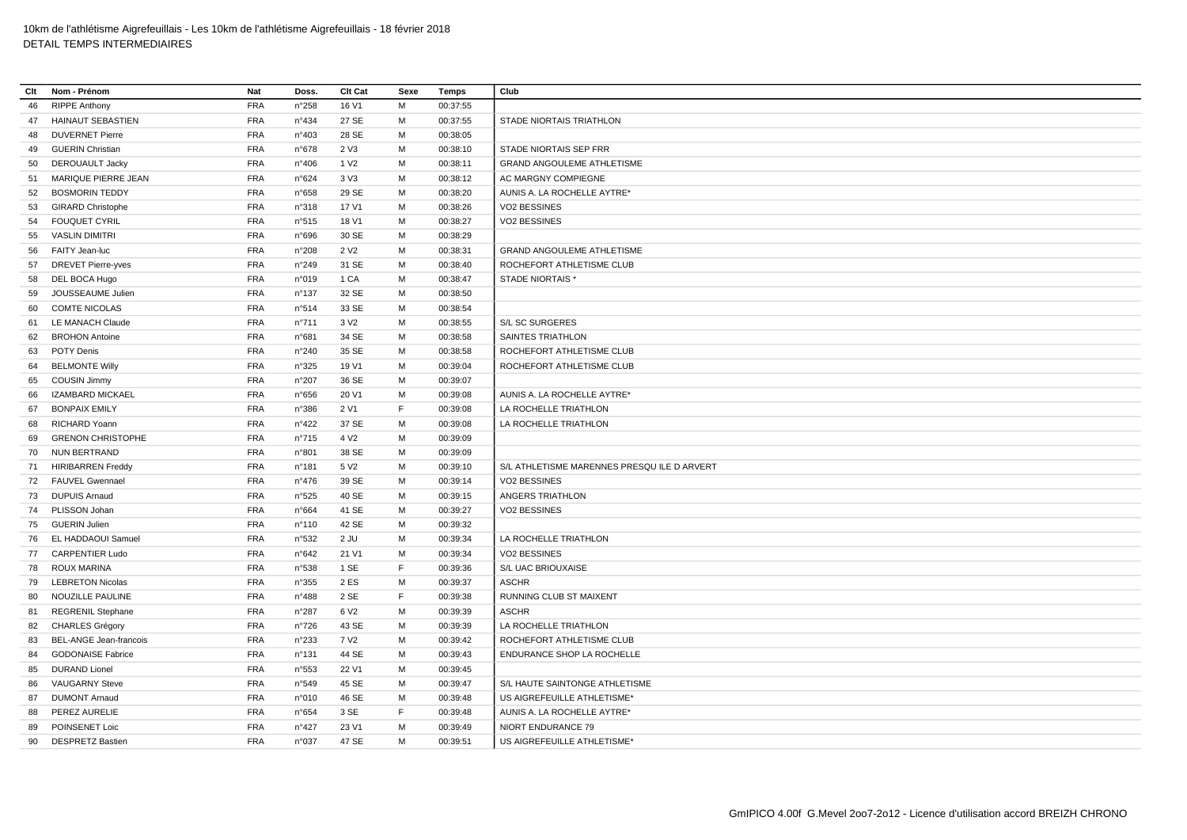| Clt | Nom - Prénom                  | Nat        | Doss.           | Clt Cat          | Sexe | Temps    | Club                                       |
|-----|-------------------------------|------------|-----------------|------------------|------|----------|--------------------------------------------|
| 46  | <b>RIPPE Anthony</b>          | <b>FRA</b> | n°258           | 16 V1            | M    | 00:37:55 |                                            |
| 47  | <b>HAINAUT SEBASTIEN</b>      | <b>FRA</b> | $n^{\circ}434$  | 27 SE            | M    | 00:37:55 | STADE NIORTAIS TRIATHLON                   |
| 48  | <b>DUVERNET Pierre</b>        | <b>FRA</b> | n°403           | 28 SE            | М    | 00:38:05 |                                            |
| 49  | <b>GUERIN Christian</b>       | <b>FRA</b> | $n^{\circ}678$  | 2 V3             | м    | 00:38:10 | STADE NIORTAIS SEP FRR                     |
| 50  | <b>DEROUAULT Jacky</b>        | <b>FRA</b> | n°406           | 1 V <sub>2</sub> | M    | 00:38:11 | <b>GRAND ANGOULEME ATHLETISME</b>          |
| 51  | MARIQUE PIERRE JEAN           | <b>FRA</b> | n°624           | 3 V3             | м    | 00:38:12 | AC MARGNY COMPIEGNE                        |
| 52  | <b>BOSMORIN TEDDY</b>         | <b>FRA</b> | n°658           | 29 SE            | М    | 00:38:20 | AUNIS A. LA ROCHELLE AYTRE*                |
| 53  | <b>GIRARD Christophe</b>      | <b>FRA</b> | n°318           | 17 V1            | M    | 00:38:26 | VO2 BESSINES                               |
| 54  | <b>FOUQUET CYRIL</b>          | <b>FRA</b> | n°515           | 18 V1            | M    | 00:38:27 | VO2 BESSINES                               |
| 55  | <b>VASLIN DIMITRI</b>         | <b>FRA</b> | n°696           | 30 SE            | M    | 00:38:29 |                                            |
| 56  | FAITY Jean-luc                | <b>FRA</b> | n°208           | 2 V <sub>2</sub> | M    | 00:38:31 | <b>GRAND ANGOULEME ATHLETISME</b>          |
| 57  | <b>DREVET Pierre-yves</b>     | <b>FRA</b> | n°249           | 31 SE            | M    | 00:38:40 | ROCHEFORT ATHLETISME CLUB                  |
| 58  | DEL BOCA Hugo                 | <b>FRA</b> | n°019           | 1 CA             | M    | 00:38:47 | STADE NIORTAIS *                           |
| 59  | JOUSSEAUME Julien             | <b>FRA</b> | $n^{\circ}$ 137 | 32 SE            | М    | 00:38:50 |                                            |
| 60  | <b>COMTE NICOLAS</b>          | <b>FRA</b> | n°514           | 33 SE            | M    | 00:38:54 |                                            |
| 61  | LE MANACH Claude              | <b>FRA</b> | n°711           | 3 V <sub>2</sub> | M    | 00:38:55 | S/L SC SURGERES                            |
| 62  | <b>BROHON Antoine</b>         | <b>FRA</b> | n°681           | 34 SE            | м    | 00:38:58 | SAINTES TRIATHLON                          |
| 63  | POTY Denis                    | <b>FRA</b> | n°240           | 35 SE            | M    | 00:38:58 | ROCHEFORT ATHLETISME CLUB                  |
| 64  | <b>BELMONTE Willy</b>         | <b>FRA</b> | n°325           | 19 V1            | М    | 00:39:04 | ROCHEFORT ATHLETISME CLUB                  |
| 65  | <b>COUSIN Jimmy</b>           | <b>FRA</b> | n°207           | 36 SE            | М    | 00:39:07 |                                            |
| 66  | <b>IZAMBARD MICKAEL</b>       | <b>FRA</b> | $n^{\circ}656$  | 20 V1            | м    | 00:39:08 | AUNIS A. LA ROCHELLE AYTRE*                |
| 67  | <b>BONPAIX EMILY</b>          | FRA        | n°386           | 2 V1             | E    | 00:39:08 | LA ROCHELLE TRIATHLON                      |
| 68  | RICHARD Yoann                 | <b>FRA</b> | $n^{\circ}422$  | 37 SE            | M    | 00:39:08 | LA ROCHELLE TRIATHLON                      |
| 69  | <b>GRENON CHRISTOPHE</b>      | <b>FRA</b> | $n^{\circ}715$  | 4 V <sub>2</sub> | M    | 00:39:09 |                                            |
| 70  | <b>NUN BERTRAND</b>           | <b>FRA</b> | n°801           | 38 SE            | M    | 00:39:09 |                                            |
| 71  | <b>HIRIBARREN Freddy</b>      | <b>FRA</b> | n°181           | 5 V <sub>2</sub> | M    | 00:39:10 | S/L ATHLETISME MARENNES PRESQUILE D ARVERT |
| 72  | <b>FAUVEL Gwennael</b>        | <b>FRA</b> | $n^{\circ}476$  | 39 SE            | М    | 00:39:14 | VO2 BESSINES                               |
| 73  | <b>DUPUIS Arnaud</b>          | <b>FRA</b> | n°525           | 40 SE            | M    | 00:39:15 | ANGERS TRIATHLON                           |
| 74  | PLISSON Johan                 | <b>FRA</b> | n°664           | 41 SE            | М    | 00:39:27 | VO2 BESSINES                               |
| 75  | <b>GUERIN Julien</b>          | <b>FRA</b> | n°110           | 42 SE            | м    | 00:39:32 |                                            |
| 76  | EL HADDAOUI Samuel            | <b>FRA</b> | n°532           | $2$ JU           | M    | 00:39:34 | LA ROCHELLE TRIATHLON                      |
| 77  | <b>CARPENTIER Ludo</b>        | <b>FRA</b> | n°642           | 21 V1            | м    | 00:39:34 | VO2 BESSINES                               |
| 78  | ROUX MARINA                   | FRA        | n°538           | 1 SE             | F.   | 00:39:36 | S/L UAC BRIOUXAISE                         |
| 79  | <b>LEBRETON Nicolas</b>       | <b>FRA</b> | n°355           | 2 ES             | м    | 00:39:37 | <b>ASCHR</b>                               |
| 80  | NOUZILLE PAULINE              | <b>FRA</b> | n°488           | 2 SE             | E    | 00:39:38 | RUNNING CLUB ST MAIXENT                    |
| 81  | <b>REGRENIL Stephane</b>      | <b>FRA</b> | $n^{\circ}287$  | 6 V <sub>2</sub> | M    | 00:39:39 | <b>ASCHR</b>                               |
| 82  | <b>CHARLES Grégory</b>        | <b>FRA</b> | $n^{\circ}726$  | 43 SE            | М    | 00:39:39 | LA ROCHELLE TRIATHLON                      |
| 83  | <b>BEL-ANGE Jean-francois</b> | <b>FRA</b> | n°233           | 7 V <sub>2</sub> | M    | 00:39:42 | ROCHEFORT ATHLETISME CLUB                  |
| 84  | <b>GODONAISE Fabrice</b>      | <b>FRA</b> | n°131           | 44 SE            | M    | 00:39:43 | ENDURANCE SHOP LA ROCHELLE                 |
| 85  | <b>DURAND Lionel</b>          | <b>FRA</b> | n°553           | 22 V1            | М    | 00:39:45 |                                            |
| 86  | <b>VAUGARNY Steve</b>         | <b>FRA</b> | n°549           | 45 SE            | M    | 00:39:47 | S/L HAUTE SAINTONGE ATHLETISME             |
| 87  | <b>DUMONT Arnaud</b>          | <b>FRA</b> | n°010           | 46 SE            | М    | 00:39:48 | US AIGREFEUILLE ATHLETISME*                |
| 88  | PEREZ AURELIE                 | <b>FRA</b> | $n^{\circ}654$  | 3 SE             | E    | 00:39:48 | AUNIS A. LA ROCHELLE AYTRE*                |
| 89  | POINSENET Loic                | <b>FRA</b> | n°427           | 23 V1            | M    | 00:39:49 | NIORT ENDURANCE 79                         |
| 90  | <b>DESPRETZ Bastien</b>       | <b>FRA</b> | n°037           | 47 SE            | M    | 00:39:51 | US AIGREFEUILLE ATHLETISME*                |
|     |                               |            |                 |                  |      |          |                                            |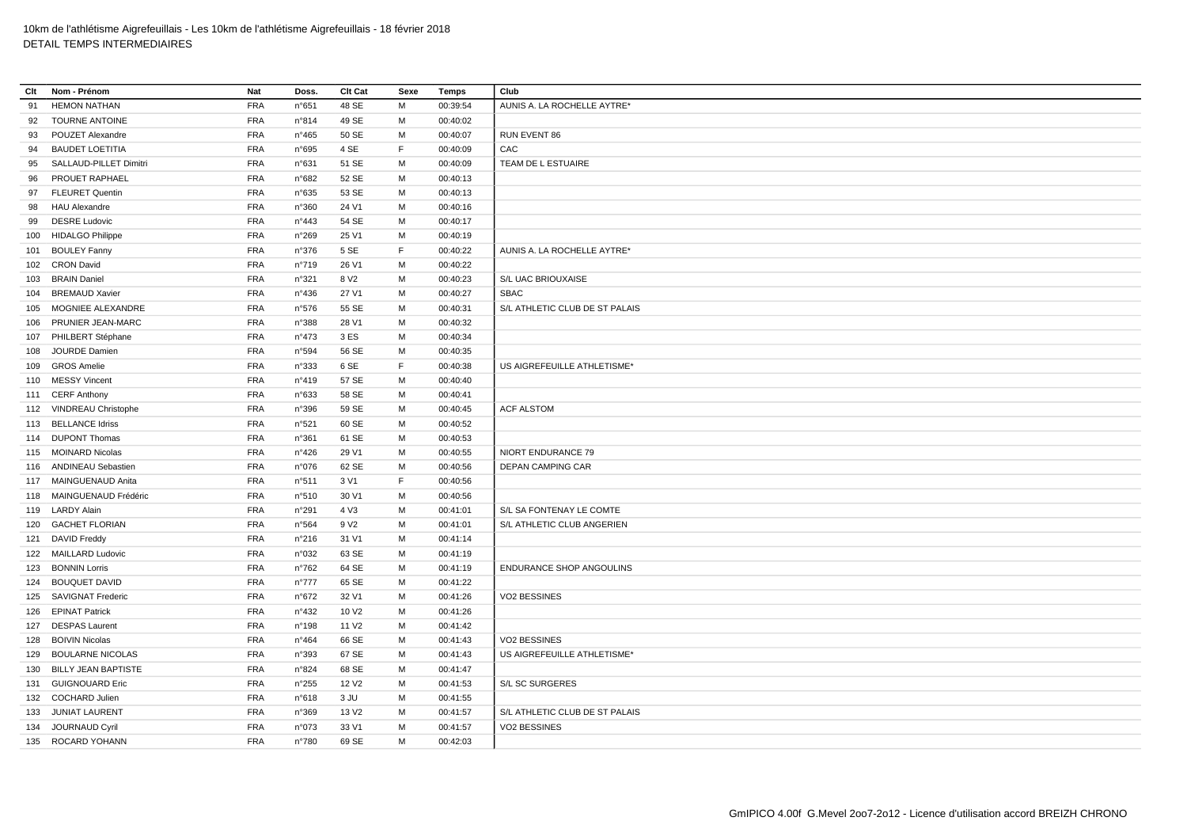| Clt | Nom - Prénom               | Nat        | Doss.          | Clt Cat           | Sexe | Temps    | Club                            |
|-----|----------------------------|------------|----------------|-------------------|------|----------|---------------------------------|
| 91  | <b>HEMON NATHAN</b>        | <b>FRA</b> | n°651          | 48 SE             | M    | 00:39:54 | AUNIS A. LA ROCHELLE AYTRE*     |
| 92  | TOURNE ANTOINE             | <b>FRA</b> | n°814          | 49 SE             | м    | 00:40:02 |                                 |
| 93  | POUZET Alexandre           | <b>FRA</b> | $n^{\circ}465$ | 50 SE             | м    | 00:40:07 | RUN EVENT 86                    |
| 94  | <b>BAUDET LOETITIA</b>     | <b>FRA</b> | n°695          | 4 SE              | F    | 00:40:09 | CAC                             |
| 95  | SALLAUD-PILLET Dimitri     | <b>FRA</b> | n°631          | 51 SE             | M    | 00:40:09 | TEAM DE L ESTUAIRE              |
| 96  | PROUET RAPHAEL             | <b>FRA</b> | n°682          | 52 SE             | M    | 00:40:13 |                                 |
| 97  | <b>FLEURET Quentin</b>     | <b>FRA</b> | $n^{\circ}635$ | 53 SE             | M    | 00:40:13 |                                 |
| 98  | <b>HAU Alexandre</b>       | <b>FRA</b> | n°360          | 24 V1             | м    | 00:40:16 |                                 |
| 99  | <b>DESRE Ludovic</b>       | <b>FRA</b> | n°443          | 54 SE             | M    | 00:40:17 |                                 |
| 100 | <b>HIDALGO Philippe</b>    | <b>FRA</b> | n°269          | 25 V1             | м    | 00:40:19 |                                 |
|     | 101 BOULEY Fanny           | FRA        | n°376          | 5 SE              | F    | 00:40:22 | AUNIS A. LA ROCHELLE AYTRE*     |
|     | 102 CRON David             | <b>FRA</b> | n°719          | 26 V1             | м    | 00:40:22 |                                 |
| 103 | <b>BRAIN Daniel</b>        | <b>FRA</b> | n°321          | 8 V <sub>2</sub>  | M    | 00:40:23 | S/L UAC BRIOUXAISE              |
| 104 | <b>BREMAUD Xavier</b>      | <b>FRA</b> | $n^{\circ}436$ | 27 V1             | м    | 00:40:27 | SBAC                            |
| 105 | MOGNIEE ALEXANDRE          | <b>FRA</b> | n°576          | 55 SE             | M    | 00:40:31 | S/L ATHLETIC CLUB DE ST PALAIS  |
| 106 | PRUNIER JEAN-MARC          | <b>FRA</b> | n°388          | 28 V1             | м    | 00:40:32 |                                 |
|     | 107 PHILBERT Stéphane      | <b>FRA</b> | $n^{\circ}473$ | 3 ES              | M    | 00:40:34 |                                 |
| 108 | <b>JOURDE Damien</b>       | <b>FRA</b> | n°594          | 56 SE             | м    | 00:40:35 |                                 |
| 109 | <b>GROS Amelie</b>         | <b>FRA</b> | n°333          | 6 SE              | F    | 00:40:38 | US AIGREFEUILLE ATHLETISME*     |
|     | 110 MESSY Vincent          | <b>FRA</b> | n°419          | 57 SE             | M    | 00:40:40 |                                 |
|     | 111 CERF Anthony           | <b>FRA</b> | n°633          | 58 SE             | M    | 00:40:41 |                                 |
|     | 112 VINDREAU Christophe    | <b>FRA</b> | n°396          | 59 SE             | M    | 00:40:45 | <b>ACF ALSTOM</b>               |
|     | 113 BELLANCE Idriss        | <b>FRA</b> | n°521          | 60 SE             | м    | 00:40:52 |                                 |
|     | 114 DUPONT Thomas          | <b>FRA</b> | n°361          | 61 SE             | M    | 00:40:53 |                                 |
|     | 115 MOINARD Nicolas        | <b>FRA</b> | $n^{\circ}426$ | 29 V1             | м    | 00:40:55 | NIORT ENDURANCE 79              |
|     | 116 ANDINEAU Sebastien     | <b>FRA</b> | n°076          | 62 SE             | M    | 00:40:56 | <b>DEPAN CAMPING CAR</b>        |
|     | 117 MAINGUENAUD Anita      | FRA        | n°511          | 3 V1              | F    | 00:40:56 |                                 |
|     | 118 MAINGUENAUD Frédéric   | FRA        | n°510          | 30 V1             | M    | 00:40:56 |                                 |
|     | 119 LARDY Alain            | <b>FRA</b> | n°291          | 4 V3              | M    | 00:41:01 | S/L SA FONTENAY LE COMTE        |
|     | 120 GACHET FLORIAN         | <b>FRA</b> | n°564          | 9 V <sub>2</sub>  | M    | 00:41:01 | S/L ATHLETIC CLUB ANGERIEN      |
|     | 121 DAVID Freddy           | <b>FRA</b> | n°216          | 31 V1             | м    | 00:41:14 |                                 |
|     | 122 MAILLARD Ludovic       | <b>FRA</b> | n°032          | 63 SE             | M    | 00:41:19 |                                 |
|     | 123 BONNIN Lorris          | <b>FRA</b> | $n^{\circ}762$ | 64 SE             | м    | 00:41:19 | <b>ENDURANCE SHOP ANGOULINS</b> |
| 124 | <b>BOUQUET DAVID</b>       | <b>FRA</b> | $n^{\circ}777$ | 65 SE             | M    | 00:41:22 |                                 |
|     | 125 SAVIGNAT Frederic      | <b>FRA</b> | n°672          | 32 V1             | м    | 00:41:26 | VO2 BESSINES                    |
| 126 | <b>EPINAT Patrick</b>      | <b>FRA</b> | n°432          | 10 V <sub>2</sub> | M    | 00:41:26 |                                 |
|     | 127 DESPAS Laurent         | <b>FRA</b> | n°198          | 11 V <sub>2</sub> | м    | 00:41:42 |                                 |
|     | 128 BOIVIN Nicolas         | <b>FRA</b> | $n^{\circ}464$ | 66 SE             | M    | 00:41:43 | VO2 BESSINES                    |
|     | 129 BOULARNE NICOLAS       | <b>FRA</b> | n°393          | 67 SE             | м    | 00:41:43 | US AIGREFEUILLE ATHLETISME*     |
| 130 | <b>BILLY JEAN BAPTISTE</b> | <b>FRA</b> | n°824          | 68 SE             | M    | 00:41:47 |                                 |
|     | 131 GUIGNOUARD Eric        | <b>FRA</b> | n°255          | 12 V <sub>2</sub> | м    | 00:41:53 | S/L SC SURGERES                 |
|     | 132 COCHARD Julien         | <b>FRA</b> | n°618          | 3 JU              | M    | 00:41:55 |                                 |
|     | 133 JUNIAT LAURENT         | <b>FRA</b> | n°369          | 13 V <sub>2</sub> | м    | 00:41:57 | S/L ATHLETIC CLUB DE ST PALAIS  |
|     | 134 JOURNAUD Cyril         | <b>FRA</b> | n°073          | 33 V1             | M    | 00:41:57 | VO2 BESSINES                    |
|     | 135 ROCARD YOHANN          | <b>FRA</b> | n°780          | 69 SE             | M    | 00:42:03 |                                 |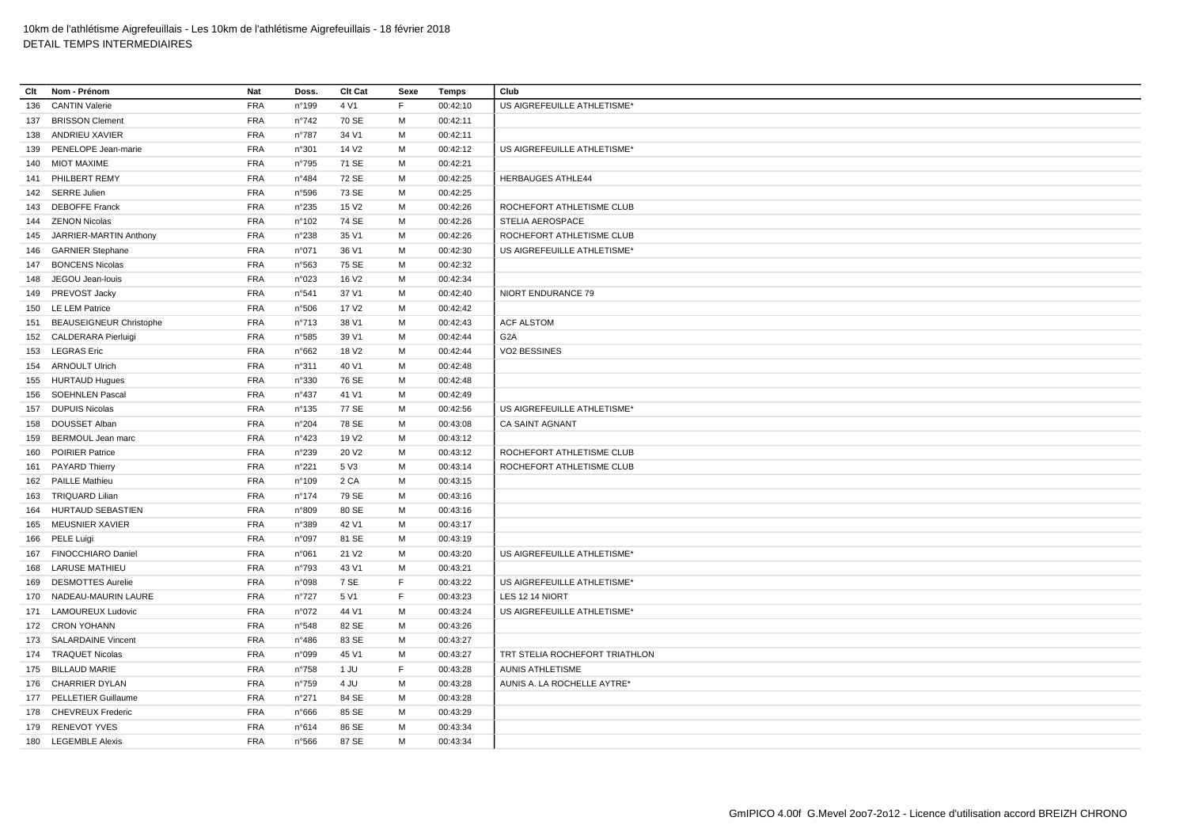| Clt | Nom - Prénom                   | Nat        | Doss.           | Clt Cat           | Sexe | Temps    | Club                           |
|-----|--------------------------------|------------|-----------------|-------------------|------|----------|--------------------------------|
| 136 | <b>CANTIN Valerie</b>          | <b>FRA</b> | n°199           | 4 V1              | F    | 00:42:10 | US AIGREFEUILLE ATHLETISME*    |
|     | 137 BRISSON Clement            | <b>FRA</b> | $n^{\circ}742$  | 70 SE             | М    | 00:42:11 |                                |
| 138 | ANDRIEU XAVIER                 | <b>FRA</b> | n°787           | 34 V1             | M    | 00:42:11 |                                |
|     | 139 PENELOPE Jean-marie        | <b>FRA</b> | n°301           | 14 V <sub>2</sub> | м    | 00:42:12 | US AIGREFEUILLE ATHLETISME*    |
|     | 140 MIOT MAXIME                | <b>FRA</b> | n°795           | 71 SE             | M    | 00:42:21 |                                |
| 141 | PHILBERT REMY                  | <b>FRA</b> | n°484           | 72 SE             | м    | 00:42:25 | <b>HERBAUGES ATHLE44</b>       |
|     | 142 SERRE Julien               | <b>FRA</b> | n°596           | 73 SE             | М    | 00:42:25 |                                |
|     | 143 DEBOFFE Franck             | <b>FRA</b> | $n^{\circ}235$  | 15 V <sub>2</sub> | M    | 00:42:26 | ROCHEFORT ATHLETISME CLUB      |
|     | 144 ZENON Nicolas              | <b>FRA</b> | $n^{\circ}102$  | 74 SE             | M    | 00:42:26 | <b>STELIA AEROSPACE</b>        |
| 145 | JARRIER-MARTIN Anthony         | <b>FRA</b> | $n^{\circ}238$  | 35 V1             | M    | 00:42:26 | ROCHEFORT ATHLETISME CLUB      |
|     | 146 GARNIER Stephane           | <b>FRA</b> | n°071           | 36 V1             | M    | 00:42:30 | US AIGREFEUILLE ATHLETISME*    |
|     | 147 BONCENS Nicolas            | <b>FRA</b> | n°563           | 75 SE             | м    | 00:42:32 |                                |
| 148 | JEGOU Jean-Iouis               | <b>FRA</b> | n°023           | 16 V <sub>2</sub> | M    | 00:42:34 |                                |
|     | 149 PREVOST Jacky              | <b>FRA</b> | n°541           | 37 V1             | М    | 00:42:40 | NIORT ENDURANCE 79             |
|     | 150 LE LEM Patrice             | <b>FRA</b> | n°506           | 17 V <sub>2</sub> | M    | 00:42:42 |                                |
| 151 | <b>BEAUSEIGNEUR Christophe</b> | <b>FRA</b> | $n^{\circ}713$  | 38 V1             | M    | 00:42:43 | <b>ACF ALSTOM</b>              |
|     | 152 CALDERARA Pierluigi        | <b>FRA</b> | n°585           | 39 V1             | м    | 00:42:44 | G <sub>2</sub> A               |
|     | 153 LEGRAS Eric                | <b>FRA</b> | n°662           | 18 V <sub>2</sub> | M    | 00:42:44 | VO2 BESSINES                   |
|     | 154 ARNOULT Ulrich             | <b>FRA</b> | n°311           | 40 V1             | М    | 00:42:48 |                                |
|     | 155 HURTAUD Hugues             | <b>FRA</b> | n°330           | 76 SE             | М    | 00:42:48 |                                |
| 156 | <b>SOEHNLEN Pascal</b>         | <b>FRA</b> | n°437           | 41 V1             | м    | 00:42:49 |                                |
|     | 157 DUPUIS Nicolas             | <b>FRA</b> | $n^{\circ}$ 135 | 77 SE             | M    | 00:42:56 | US AIGREFEUILLE ATHLETISME*    |
| 158 | DOUSSET Alban                  | <b>FRA</b> | n°204           | 78 SE             | M    | 00:43:08 | CA SAINT AGNANT                |
|     | 159 BERMOUL Jean marc          | <b>FRA</b> | $n^{\circ}423$  | 19 V <sub>2</sub> | М    | 00:43:12 |                                |
| 160 | <b>POIRIER Patrice</b>         | <b>FRA</b> | n°239           | 20 V <sub>2</sub> | M    | 00:43:12 | ROCHEFORT ATHLETISME CLUB      |
|     | 161 PAYARD Thierry             | <b>FRA</b> | n°221           | 5 V3              | M    | 00:43:14 | ROCHEFORT ATHLETISME CLUB      |
|     | 162 PAILLE Mathieu             | <b>FRA</b> | n°109           | 2 CA              | M    | 00:43:15 |                                |
|     | 163 TRIQUARD Lilian            | <b>FRA</b> | $n^{\circ}$ 174 | 79 SE             | M    | 00:43:16 |                                |
|     | 164 HURTAUD SEBASTIEN          | <b>FRA</b> | n°809           | 80 SE             | М    | 00:43:16 |                                |
|     | 165 MEUSNIER XAVIER            | <b>FRA</b> | n°389           | 42 V1             | м    | 00:43:17 |                                |
|     | 166 PELE Luigi                 | <b>FRA</b> | n°097           | 81 SE             | M    | 00:43:19 |                                |
|     | 167 FINOCCHIARO Daniel         | <b>FRA</b> | n°061           | 21 V <sub>2</sub> | М    | 00:43:20 | US AIGREFEUILLE ATHLETISME*    |
|     | 168 LARUSE MATHIEU             | <b>FRA</b> | n°793           | 43 V1             | М    | 00:43:21 |                                |
| 169 | <b>DESMOTTES Aurelie</b>       | <b>FRA</b> | n°098           | 7 SE              | F    | 00:43:22 | US AIGREFEUILLE ATHLETISME*    |
|     | 170 NADEAU-MAURIN LAURE        | <b>FRA</b> | n°727           | 5 V1              | E    | 00:43:23 | LES 12 14 NIORT                |
| 171 | <b>LAMOUREUX Ludovic</b>       | <b>FRA</b> | n°072           | 44 V1             | м    | 00:43:24 | US AIGREFEUILLE ATHLETISME*    |
|     | 172 CRON YOHANN                | <b>FRA</b> | n°548           | 82 SE             | М    | 00:43:26 |                                |
|     | 173 SALARDAINE Vincent         | <b>FRA</b> | $n^{\circ}486$  | 83 SE             | M    | 00:43:27 |                                |
|     | 174 TRAQUET Nicolas            | <b>FRA</b> | n°099           | 45 V1             | M    | 00:43:27 | TRT STELIA ROCHEFORT TRIATHLON |
|     | 175 BILLAUD MARIE              | <b>FRA</b> | $n^{\circ}758$  | 1 JU              | F    | 00:43:28 | <b>AUNIS ATHLETISME</b>        |
|     | 176 CHARRIER DYLAN             | <b>FRA</b> | n°759           | 4 JU              | M    | 00:43:28 | AUNIS A. LA ROCHELLE AYTRE*    |
|     | 177 PELLETIER Guillaume        | <b>FRA</b> | n°271           | 84 SE             | м    | 00:43:28 |                                |
|     | 178 CHEVREUX Frederic          | <b>FRA</b> | n°666           | 85 SE             | м    | 00:43:29 |                                |
|     | 179 RENEVOT YVES               | <b>FRA</b> | n°614           | 86 SE             | M    | 00:43:34 |                                |
|     | 180 LEGEMBLE Alexis            | <b>FRA</b> | n°566           | 87 SE             | M    | 00:43:34 |                                |
|     |                                |            |                 |                   |      |          |                                |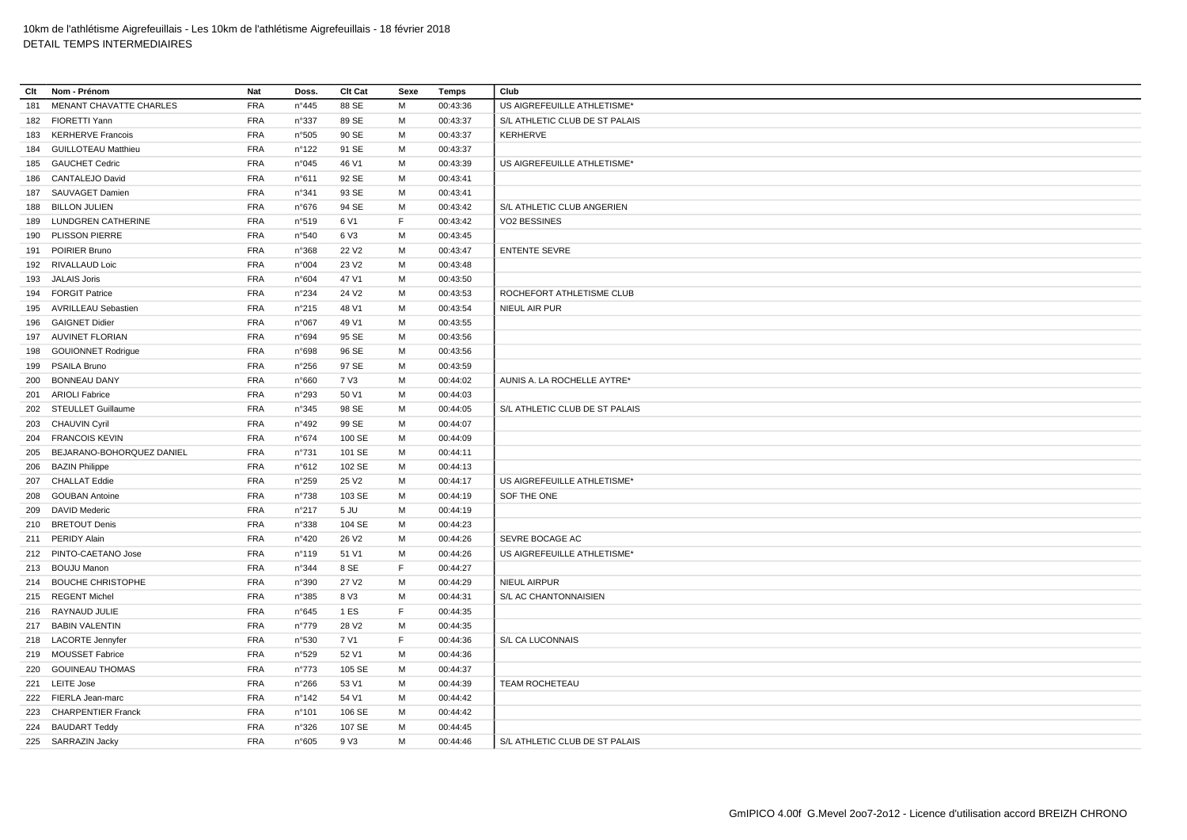| Clt | Nom - Prénom                   | Nat        | Doss.          | <b>Clt Cat</b>    | Sexe | Temps    | Club                           |
|-----|--------------------------------|------------|----------------|-------------------|------|----------|--------------------------------|
| 181 | <b>MENANT CHAVATTE CHARLES</b> | <b>FRA</b> | n°445          | 88 SE             | M    | 00:43:36 | US AIGREFEUILLE ATHLETISME*    |
|     | 182 FIORETTI Yann              | <b>FRA</b> | n°337          | 89 SE             | М    | 00:43:37 | S/L ATHLETIC CLUB DE ST PALAIS |
| 183 | <b>KERHERVE Francois</b>       | <b>FRA</b> | n°505          | 90 SE             | M    | 00:43:37 | KERHERVE                       |
|     | 184 GUILLOTEAU Matthieu        | <b>FRA</b> | $n^{\circ}122$ | 91 SE             | M    | 00:43:37 |                                |
|     | 185 GAUCHET Cedric             | <b>FRA</b> | n°045          | 46 V1             | м    | 00:43:39 | US AIGREFEUILLE ATHLETISME*    |
|     | 186 CANTALEJO David            | <b>FRA</b> | n°611          | 92 SE             | M    | 00:43:41 |                                |
|     | 187 SAUVAGET Damien            | <b>FRA</b> | n°341          | 93 SE             | м    | 00:43:41 |                                |
|     | 188 BILLON JULIEN              | <b>FRA</b> | $n^{\circ}676$ | 94 SE             | M    | 00:43:42 | S/L ATHLETIC CLUB ANGERIEN     |
| 189 | <b>LUNDGREN CATHERINE</b>      | <b>FRA</b> | n°519          | 6 V1              | F    | 00:43:42 | VO2 BESSINES                   |
|     | 190 PLISSON PIERRE             | <b>FRA</b> | n°540          | 6 V3              | M    | 00:43:45 |                                |
|     | 191 POIRIER Bruno              | <b>FRA</b> | n°368          | 22 V <sub>2</sub> | м    | 00:43:47 | <b>ENTENTE SEVRE</b>           |
|     | 192 RIVALLAUD Loic             | <b>FRA</b> | n°004          | 23 V <sub>2</sub> | M    | 00:43:48 |                                |
|     | 193 JALAIS Joris               | <b>FRA</b> | n°604          | 47 V1             | M    | 00:43:50 |                                |
|     | 194 FORGIT Patrice             | <b>FRA</b> | $n^{\circ}234$ | 24 V <sub>2</sub> | М    | 00:43:53 | ROCHEFORT ATHLETISME CLUB      |
|     | 195 AVRILLEAU Sebastien        | <b>FRA</b> | $n^{\circ}215$ | 48 V1             | M    | 00:43:54 | NIEUL AIR PUR                  |
|     | 196 GAIGNET Didier             | <b>FRA</b> | n°067          | 49 V1             | м    | 00:43:55 |                                |
|     | 197 AUVINET FLORIAN            | <b>FRA</b> | n°694          | 95 SE             | M    | 00:43:56 |                                |
| 198 | <b>GOUIONNET Rodrigue</b>      | <b>FRA</b> | n°698          | 96 SE             | M    | 00:43:56 |                                |
|     | 199 PSAILA Bruno               | <b>FRA</b> | $n^{\circ}256$ | 97 SE             | М    | 00:43:59 |                                |
|     | 200 BONNEAU DANY               | <b>FRA</b> | n°660          | 7 V3              | M    | 00:44:02 | AUNIS A. LA ROCHELLE AYTRE*    |
| 201 | <b>ARIOLI Fabrice</b>          | <b>FRA</b> | n°293          | 50 V1             | M    | 00:44:03 |                                |
|     | 202 STEULLET Guillaume         | <b>FRA</b> | n°345          | 98 SE             | M    | 00:44:05 | S/L ATHLETIC CLUB DE ST PALAIS |
|     | 203 CHAUVIN Cyril              | <b>FRA</b> | n°492          | 99 SE             | М    | 00:44:07 |                                |
|     | 204 FRANCOIS KEVIN             | <b>FRA</b> | $n^{\circ}674$ | 100 SE            | м    | 00:44:09 |                                |
|     | 205 BEJARANO-BOHORQUEZ DANIEL  | <b>FRA</b> | n°731          | 101 SE            | M    | 00:44:11 |                                |
| 206 | <b>BAZIN Philippe</b>          | <b>FRA</b> | n°612          | 102 SE            | М    | 00:44:13 |                                |
|     | 207 CHALLAT Eddie              | <b>FRA</b> | n°259          | 25 V <sub>2</sub> | M    | 00:44:17 | US AIGREFEUILLE ATHLETISME*    |
| 208 | <b>GOUBAN Antoine</b>          | <b>FRA</b> | $n^{\circ}738$ | 103 SE            | м    | 00:44:19 | SOF THE ONE                    |
|     | 209 DAVID Mederic              | <b>FRA</b> | n°217          | $5$ JU            | M    | 00:44:19 |                                |
|     | 210 BRETOUT Denis              | <b>FRA</b> | n°338          | 104 SE            | м    | 00:44:23 |                                |
|     | 211 PERIDY Alain               | <b>FRA</b> | $n^{\circ}420$ | 26 V <sub>2</sub> | м    | 00:44:26 | SEVRE BOCAGE AC                |
|     | 212 PINTO-CAETANO Jose         | <b>FRA</b> | n°119          | 51 V1             | м    | 00:44:26 | US AIGREFEUILLE ATHLETISME*    |
|     | 213 BOUJU Manon                | <b>FRA</b> | n°344          | 8 SE              | F    | 00:44:27 |                                |
|     | 214 BOUCHE CHRISTOPHE          | <b>FRA</b> | n°390          | 27 V <sub>2</sub> | M    | 00:44:29 | NIEUL AIRPUR                   |
|     | 215 REGENT Michel              | <b>FRA</b> | n°385          | 8 V3              | М    | 00:44:31 | S/L AC CHANTONNAISIEN          |
|     | 216 RAYNAUD JULIE              | <b>FRA</b> | n°645          | 1 ES              | F    | 00:44:35 |                                |
|     | 217 BABIN VALENTIN             | <b>FRA</b> | $n^{\circ}779$ | 28 V <sub>2</sub> | M    | 00:44:35 |                                |
|     | 218 LACORTE Jennyfer           | <b>FRA</b> | n°530          | 7 V1              | E    | 00:44:36 | S/L CA LUCONNAIS               |
|     | 219 MOUSSET Fabrice            | <b>FRA</b> | n°529          | 52 V1             | M    | 00:44:36 |                                |
|     | 220 GOUINEAU THOMAS            | <b>FRA</b> | $n^{\circ}773$ | 105 SE            | М    | 00:44:37 |                                |
|     | 221 LEITE Jose                 | <b>FRA</b> | $n^{\circ}266$ | 53 V1             | м    | 00:44:39 | TEAM ROCHETEAU                 |
|     | 222 FIERLA Jean-marc           | <b>FRA</b> | n°142          | 54 V1             | M    | 00:44:42 |                                |
|     | 223 CHARPENTIER Franck         | <b>FRA</b> | $n^{\circ}101$ | 106 SE            | м    | 00:44:42 |                                |
|     | 224 BAUDART Teddy              | <b>FRA</b> | n°326          | 107 SE            | M    | 00:44:45 |                                |
|     | 225 SARRAZIN Jacky             | <b>FRA</b> | n°605          | 9 V3              | M    | 00:44:46 | S/L ATHLETIC CLUB DE ST PALAIS |
|     |                                |            |                |                   |      |          |                                |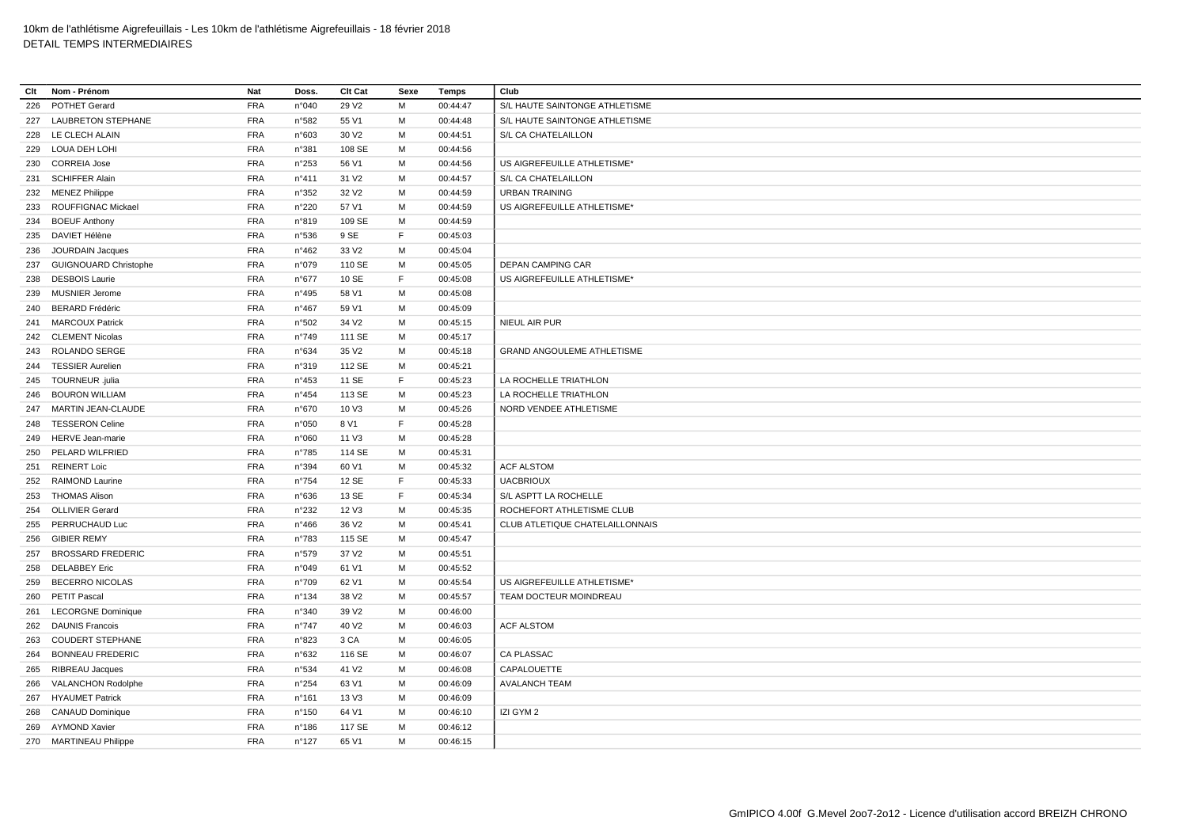| Clt | Nom - Prénom              | Nat        | Doss.           | <b>Clt Cat</b>    | Sexe        | Temps    | Club                              |
|-----|---------------------------|------------|-----------------|-------------------|-------------|----------|-----------------------------------|
| 226 | POTHET Gerard             | <b>FRA</b> | n°040           | 29 V <sub>2</sub> | M           | 00:44:47 | S/L HAUTE SAINTONGE ATHLETISME    |
|     | 227 LAUBRETON STEPHANE    | <b>FRA</b> | n°582           | 55 V1             | M           | 00:44:48 | S/L HAUTE SAINTONGE ATHLETISME    |
| 228 | LE CLECH ALAIN            | <b>FRA</b> | n°603           | 30 V <sub>2</sub> | M           | 00:44:51 | S/L CA CHATELAILLON               |
|     | 229 LOUA DEH LOHI         | <b>FRA</b> | n°381           | 108 SE            | M           | 00:44:56 |                                   |
| 230 | <b>CORREIA Jose</b>       | <b>FRA</b> | n°253           | 56 V1             | M           | 00:44:56 | US AIGREFEUILLE ATHLETISME*       |
| 231 | <b>SCHIFFER Alain</b>     | <b>FRA</b> | $n^{\circ}411$  | 31 V <sub>2</sub> | M           | 00:44:57 | S/L CA CHATELAILLON               |
|     | 232 MENEZ Philippe        | <b>FRA</b> | n°352           | 32 V <sub>2</sub> | M           | 00:44:59 | <b>URBAN TRAINING</b>             |
| 233 | ROUFFIGNAC Mickael        | <b>FRA</b> | n°220           | 57 V1             | M           | 00:44:59 | US AIGREFEUILLE ATHLETISME*       |
| 234 | <b>BOEUF Anthony</b>      | <b>FRA</b> | n°819           | 109 SE            | M           | 00:44:59 |                                   |
|     | 235 DAVIET Hélène         | <b>FRA</b> | n°536           | 9 SE              | F           | 00:45:03 |                                   |
| 236 | JOURDAIN Jacques          | <b>FRA</b> | n°462           | 33 V <sub>2</sub> | M           | 00:45:04 |                                   |
|     | 237 GUIGNOUARD Christophe | <b>FRA</b> | n°079           | 110 SE            | M           | 00:45:05 | <b>DEPAN CAMPING CAR</b>          |
| 238 | <b>DESBOIS Laurie</b>     | <b>FRA</b> | $n^{\circ}677$  | 10 SE             | $\mathsf F$ | 00:45:08 | US AIGREFEUILLE ATHLETISME*       |
| 239 | <b>MUSNIER Jerome</b>     | <b>FRA</b> | n°495           | 58 V1             | M           | 00:45:08 |                                   |
| 240 | <b>BERARD Frédéric</b>    | <b>FRA</b> | $n^{\circ}467$  | 59 V1             | M           | 00:45:09 |                                   |
| 241 | <b>MARCOUX Patrick</b>    | <b>FRA</b> | n°502           | 34 V <sub>2</sub> | M           | 00:45:15 | NIEUL AIR PUR                     |
|     | 242 CLEMENT Nicolas       | <b>FRA</b> | n°749           | 111 SE            | M           | 00:45:17 |                                   |
| 243 | ROLANDO SERGE             | <b>FRA</b> | n°634           | 35 V <sub>2</sub> | M           | 00:45:18 | <b>GRAND ANGOULEME ATHLETISME</b> |
|     | 244 TESSIER Aurelien      | <b>FRA</b> | n°319           | 112 SE            | M           | 00:45:21 |                                   |
|     | 245 TOURNEUR .julia       | <b>FRA</b> | n°453           | 11 SE             | $\mathsf F$ | 00:45:23 | LA ROCHELLE TRIATHLON             |
|     | 246 BOURON WILLIAM        | <b>FRA</b> | $n^{\circ}454$  | 113 SE            | M           | 00:45:23 | LA ROCHELLE TRIATHLON             |
| 247 | MARTIN JEAN-CLAUDE        | <b>FRA</b> | n°670           | 10 V3             | M           | 00:45:26 | NORD VENDEE ATHLETISME            |
| 248 | <b>TESSERON Celine</b>    | <b>FRA</b> | n°050           | 8 V1              | F           | 00:45:28 |                                   |
| 249 | <b>HERVE Jean-marie</b>   | <b>FRA</b> | n°060           | 11 V3             | M           | 00:45:28 |                                   |
|     | 250 PELARD WILFRIED       | <b>FRA</b> | n°785           | 114 SE            | M           | 00:45:31 |                                   |
| 251 | <b>REINERT Loic</b>       | <b>FRA</b> | n°394           | 60 V1             | M           | 00:45:32 | <b>ACF ALSTOM</b>                 |
| 252 | <b>RAIMOND Laurine</b>    | <b>FRA</b> | n°754           | 12 SE             | F           | 00:45:33 | <b>UACBRIOUX</b>                  |
|     | 253 THOMAS Alison         | <b>FRA</b> | n°636           | 13 SE             | F           | 00:45:34 | S/L ASPTT LA ROCHELLE             |
|     | 254 OLLIVIER Gerard       | <b>FRA</b> | n°232           | 12 V3             | M           | 00:45:35 | ROCHEFORT ATHLETISME CLUB         |
|     | 255 PERRUCHAUD Luc        | <b>FRA</b> | $n^{\circ}466$  | 36 V <sub>2</sub> | M           | 00:45:41 | CLUB ATLETIQUE CHATELAILLONNAIS   |
| 256 | <b>GIBIER REMY</b>        | <b>FRA</b> | n°783           | 115 SE            | M           | 00:45:47 |                                   |
| 257 | <b>BROSSARD FREDERIC</b>  | <b>FRA</b> | n°579           | 37 V <sub>2</sub> | M           | 00:45:51 |                                   |
| 258 | <b>DELABBEY Eric</b>      | <b>FRA</b> | n°049           | 61 V1             | м           | 00:45:52 |                                   |
| 259 | <b>BECERRO NICOLAS</b>    | <b>FRA</b> | n°709           | 62 V1             | M           | 00:45:54 | US AIGREFEUILLE ATHLETISME*       |
| 260 | PETIT Pascal              | <b>FRA</b> | $n^{\circ}$ 134 | 38 V <sub>2</sub> | M           | 00:45:57 | TEAM DOCTEUR MOINDREAU            |
| 261 | <b>LECORGNE Dominique</b> | <b>FRA</b> | n°340           | 39 V <sub>2</sub> | M           | 00:46:00 |                                   |
| 262 | <b>DAUNIS Francois</b>    | <b>FRA</b> | $n^{\circ}747$  | 40 V <sub>2</sub> | M           | 00:46:03 | <b>ACF ALSTOM</b>                 |
| 263 | <b>COUDERT STEPHANE</b>   | <b>FRA</b> | n°823           | 3 CA              | M           | 00:46:05 |                                   |
| 264 | <b>BONNEAU FREDERIC</b>   | <b>FRA</b> | n°632           | 116 SE            | M           | 00:46:07 | CA PLASSAC                        |
| 265 | RIBREAU Jacques           | <b>FRA</b> | n°534           | 41 V <sub>2</sub> | M           | 00:46:08 | CAPALOUETTE                       |
| 266 | <b>VALANCHON Rodolphe</b> | <b>FRA</b> | n°254           | 63 V1             | M           | 00:46:09 | <b>AVALANCH TEAM</b>              |
| 267 | <b>HYAUMET Patrick</b>    | <b>FRA</b> | n°161           | 13 V3             | M           | 00:46:09 |                                   |
| 268 | <b>CANAUD Dominique</b>   | <b>FRA</b> | $n^{\circ}150$  | 64 V1             | M           | 00:46:10 | IZI GYM 2                         |
| 269 | <b>AYMOND Xavier</b>      | <b>FRA</b> | $n^{\circ}$ 186 | 117 SE            | м           | 00:46:12 |                                   |
|     | 270 MARTINEAU Philippe    | <b>FRA</b> | n°127           | 65 V1             | M           | 00:46:15 |                                   |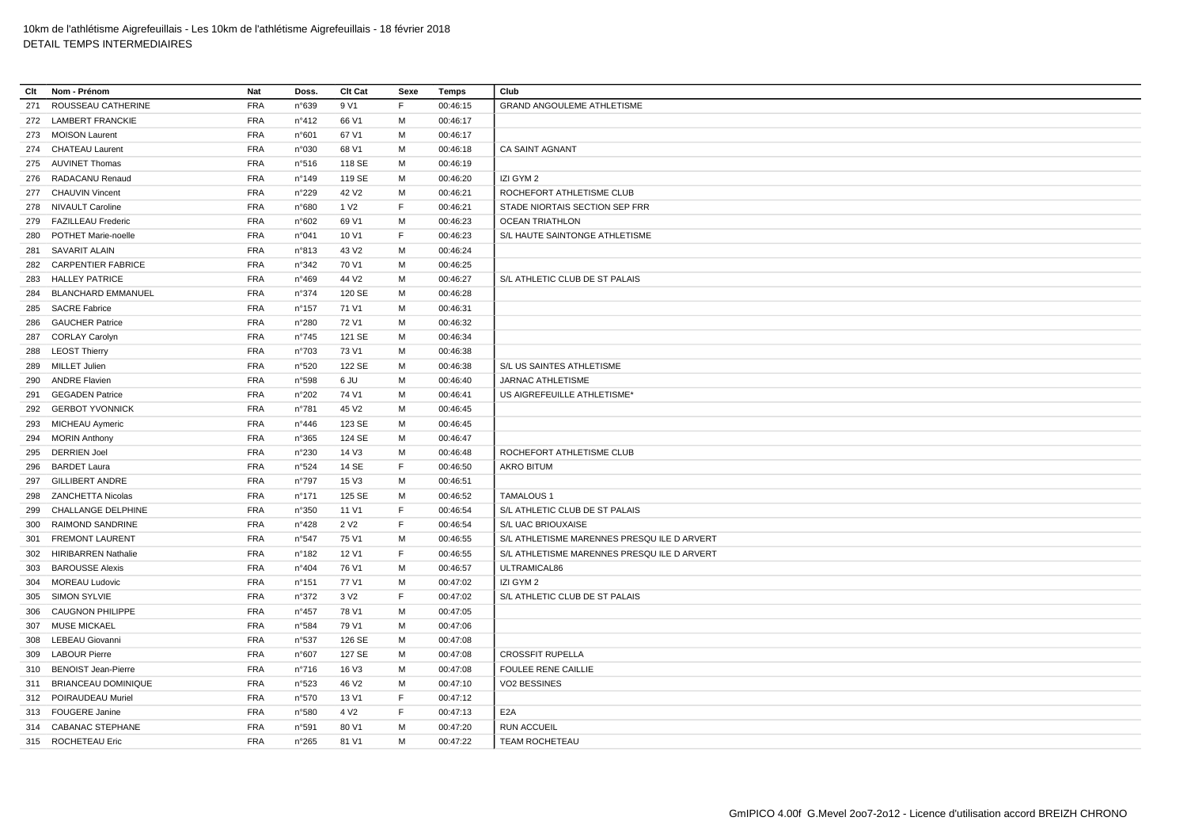| Clt | Nom - Prénom               | Nat        | Doss.           | <b>Clt Cat</b>    | Sexe | Temps    | Club                                       |
|-----|----------------------------|------------|-----------------|-------------------|------|----------|--------------------------------------------|
| 271 | ROUSSEAU CATHERINE         | <b>FRA</b> | n°639           | 9 V1              | F.   | 00:46:15 | <b>GRAND ANGOULEME ATHLETISME</b>          |
|     | 272 LAMBERT FRANCKIE       | <b>FRA</b> | n°412           | 66 V1             | м    | 00:46:17 |                                            |
| 273 | <b>MOISON Laurent</b>      | <b>FRA</b> | n°601           | 67 V1             | M    | 00:46:17 |                                            |
|     | 274 CHATEAU Laurent        | <b>FRA</b> | n°030           | 68 V1             | м    | 00:46:18 | <b>CA SAINT AGNANT</b>                     |
| 275 | <b>AUVINET Thomas</b>      | <b>FRA</b> | n°516           | 118 SE            | M    | 00:46:19 |                                            |
| 276 | RADACANU Renaud            | <b>FRA</b> | $n^{\circ}$ 149 | 119 SE            | м    | 00:46:20 | IZI GYM 2                                  |
|     | 277 CHAUVIN Vincent        | <b>FRA</b> | n°229           | 42 V <sub>2</sub> | M    | 00:46:21 | ROCHEFORT ATHLETISME CLUB                  |
| 278 | NIVAULT Caroline           | <b>FRA</b> | n°680           | 1 V <sub>2</sub>  | E    | 00:46:21 | STADE NIORTAIS SECTION SEP FRR             |
| 279 | <b>FAZILLEAU Frederic</b>  | <b>FRA</b> | n°602           | 69 V1             | M    | 00:46:23 | <b>OCEAN TRIATHLON</b>                     |
| 280 | POTHET Marie-noelle        | <b>FRA</b> | n°041           | 10 V1             | F.   | 00:46:23 | S/L HAUTE SAINTONGE ATHLETISME             |
|     | 281 SAVARIT ALAIN          | <b>FRA</b> | n°813           | 43 V <sub>2</sub> | M    | 00:46:24 |                                            |
|     | 282 CARPENTIER FABRICE     | <b>FRA</b> | n°342           | 70 V1             | M    | 00:46:25 |                                            |
| 283 | <b>HALLEY PATRICE</b>      | <b>FRA</b> | n°469           | 44 V <sub>2</sub> | M    | 00:46:27 | S/L ATHLETIC CLUB DE ST PALAIS             |
| 284 | <b>BLANCHARD EMMANUEL</b>  | <b>FRA</b> | n°374           | 120 SE            | M    | 00:46:28 |                                            |
|     | 285 SACRE Fabrice          | <b>FRA</b> | $n^{\circ}$ 157 | 71 V1             | м    | 00:46:31 |                                            |
| 286 | <b>GAUCHER Patrice</b>     | <b>FRA</b> | n°280           | 72 V1             | M    | 00:46:32 |                                            |
|     | 287 CORLAY Carolyn         | <b>FRA</b> | $n^{\circ}745$  | 121 SE            | M    | 00:46:34 |                                            |
| 288 | <b>LEOST Thierry</b>       | <b>FRA</b> | n°703           | 73 V1             | M    | 00:46:38 |                                            |
| 289 | <b>MILLET Julien</b>       | <b>FRA</b> | n°520           | 122 SE            | M    | 00:46:38 | S/L US SAINTES ATHLETISME                  |
| 290 | <b>ANDRE Flavien</b>       | <b>FRA</b> | n°598           | 6 JU              | M    | 00:46:40 | JARNAC ATHLETISME                          |
|     | 291 GEGADEN Patrice        | <b>FRA</b> | n°202           | 74 V1             | м    | 00:46:41 | US AIGREFEUILLE ATHLETISME*                |
| 292 | <b>GERBOT YVONNICK</b>     | <b>FRA</b> | n°781           | 45 V <sub>2</sub> | M    | 00:46:45 |                                            |
|     | 293 MICHEAU Aymeric        | <b>FRA</b> | $n^{\circ}446$  | 123 SE            | м    | 00:46:45 |                                            |
|     | 294 MORIN Anthony          | <b>FRA</b> | n°365           | 124 SE            | M    | 00:46:47 |                                            |
|     | 295 DERRIEN Joel           | <b>FRA</b> | n°230           | 14 V3             | M    | 00:46:48 | ROCHEFORT ATHLETISME CLUB                  |
| 296 | <b>BARDET Laura</b>        | <b>FRA</b> | n°524           | 14 SE             | E    | 00:46:50 | <b>AKRO BITUM</b>                          |
| 297 | <b>GILLIBERT ANDRE</b>     | <b>FRA</b> | n°797           | 15 V3             | M    | 00:46:51 |                                            |
|     | 298 ZANCHETTA Nicolas      | <b>FRA</b> | $n^{\circ}$ 171 | 125 SE            | M    | 00:46:52 | <b>TAMALOUS 1</b>                          |
| 299 | CHALLANGE DELPHINE         | <b>FRA</b> | n°350           | 11 V1             | F    | 00:46:54 | S/L ATHLETIC CLUB DE ST PALAIS             |
| 300 | <b>RAIMOND SANDRINE</b>    | <b>FRA</b> | n°428           | 2 V <sub>2</sub>  | F    | 00:46:54 | S/L UAC BRIOUXAISE                         |
| 301 | <b>FREMONT LAURENT</b>     | <b>FRA</b> | n°547           | 75 V1             | M    | 00:46:55 | S/L ATHLETISME MARENNES PRESQUILE D ARVERT |
| 302 | <b>HIRIBARREN Nathalie</b> | <b>FRA</b> | $n^{\circ}$ 182 | 12 V1             | F.   | 00:46:55 | S/L ATHLETISME MARENNES PRESQUILE D ARVERT |
|     | 303 BAROUSSE Alexis        | <b>FRA</b> | n°404           | 76 V1             | M    | 00:46:57 | ULTRAMICAL86                               |
|     | 304 MOREAU Ludovic         | <b>FRA</b> | $n^{\circ}$ 151 | 77 V1             | м    | 00:47:02 | IZI GYM 2                                  |
|     | 305 SIMON SYLVIE           | <b>FRA</b> | n°372           | 3 V <sub>2</sub>  | E    | 00:47:02 | S/L ATHLETIC CLUB DE ST PALAIS             |
| 306 | <b>CAUGNON PHILIPPE</b>    | <b>FRA</b> | $n^{\circ}457$  | 78 V1             | м    | 00:47:05 |                                            |
|     | 307 MUSE MICKAEL           | <b>FRA</b> | n°584           | 79 V1             | M    | 00:47:06 |                                            |
| 308 | LEBEAU Giovanni            | <b>FRA</b> | n°537           | 126 SE            | м    | 00:47:08 |                                            |
| 309 | <b>LABOUR Pierre</b>       | <b>FRA</b> | n°607           | 127 SE            | M    | 00:47:08 | <b>CROSSFIT RUPELLA</b>                    |
| 310 | <b>BENOIST Jean-Pierre</b> | <b>FRA</b> | n°716           | 16 V3             | M    | 00:47:08 | <b>FOULEE RENE CAILLIE</b>                 |
|     | 311 BRIANCEAU DOMINIQUE    | <b>FRA</b> | n°523           | 46 V <sub>2</sub> | м    | 00:47:10 | <b>VO2 BESSINES</b>                        |
|     | 312 POIRAUDEAU Muriel      | <b>FRA</b> | n°570           | 13 V1             | F    | 00:47:12 |                                            |
|     | 313 FOUGERE Janine         | <b>FRA</b> | n°580           | 4 V <sub>2</sub>  | F    | 00:47:13 | E <sub>2</sub> A                           |
|     | 314 CABANAC STEPHANE       | <b>FRA</b> | n°591           | 80 V1             | M    | 00:47:20 | <b>RUN ACCUEIL</b>                         |
|     | 315 ROCHETEAU Eric         | <b>FRA</b> | n°265           | 81 V1             | M    | 00:47:22 | TEAM ROCHETEAU                             |
|     |                            |            |                 |                   |      |          |                                            |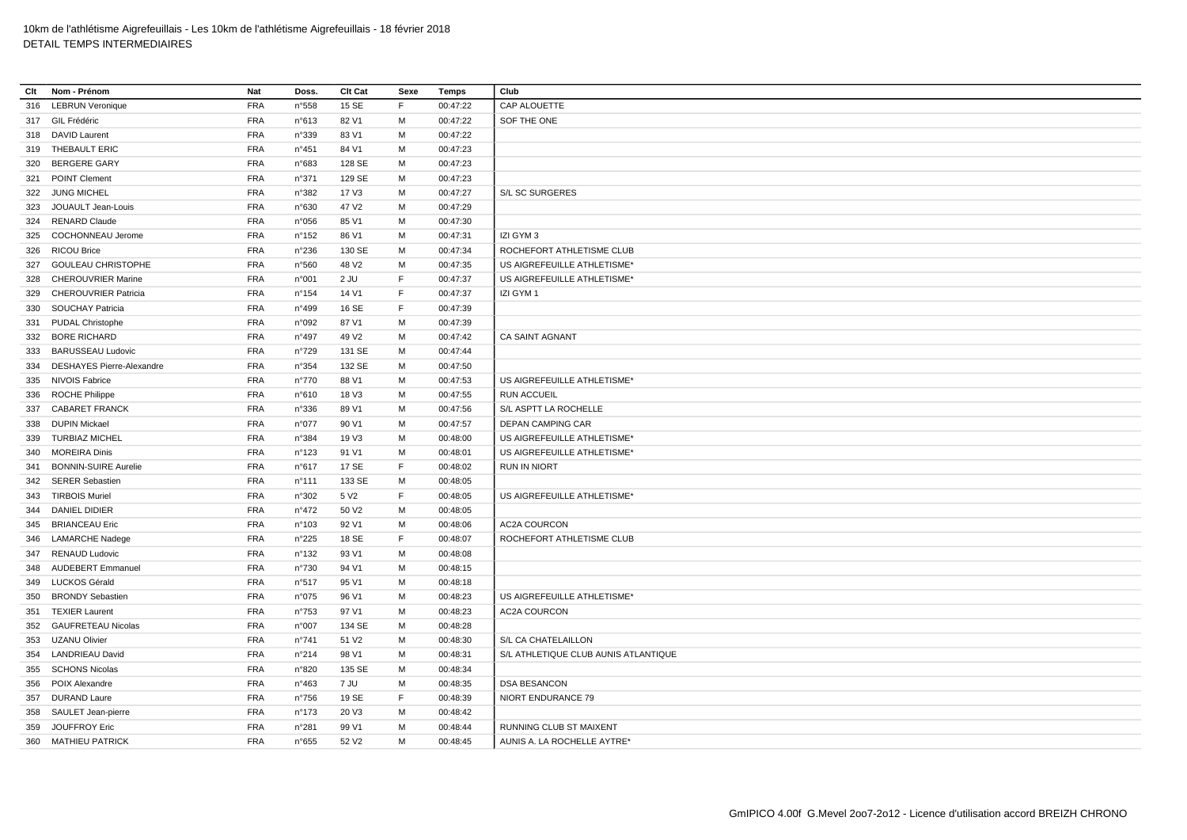| Clt | Nom - Prénom                     | Nat        | Doss.           | Clt Cat           | Sexe | Temps    | Club                                 |
|-----|----------------------------------|------------|-----------------|-------------------|------|----------|--------------------------------------|
| 316 | <b>LEBRUN Veronique</b>          | <b>FRA</b> | n°558           | 15 SE             | F.   | 00:47:22 | CAP ALOUETTE                         |
|     | 317 GIL Frédéric                 | <b>FRA</b> | n°613           | 82 V1             | м    | 00:47:22 | SOF THE ONE                          |
| 318 | DAVID Laurent                    | <b>FRA</b> | n°339           | 83 V1             | M    | 00:47:22 |                                      |
|     | 319 THEBAULT ERIC                | <b>FRA</b> | n°451           | 84 V1             | M    | 00:47:23 |                                      |
| 320 | <b>BERGERE GARY</b>              | <b>FRA</b> | n°683           | 128 SE            | М    | 00:47:23 |                                      |
|     | 321 POINT Clement                | <b>FRA</b> | n°371           | 129 SE            | M    | 00:47:23 |                                      |
|     | 322 JUNG MICHEL                  | <b>FRA</b> | n°382           | 17 V3             | м    | 00:47:27 | S/L SC SURGERES                      |
| 323 | JOUAULT Jean-Louis               | <b>FRA</b> | n°630           | 47 V <sub>2</sub> | M    | 00:47:29 |                                      |
| 324 | <b>RENARD Claude</b>             | <b>FRA</b> | n°056           | 85 V1             | м    | 00:47:30 |                                      |
| 325 | <b>COCHONNEAU Jerome</b>         | <b>FRA</b> | $n^{\circ}152$  | 86 V1             | м    | 00:47:31 | IZI GYM 3                            |
| 326 | <b>RICOU Brice</b>               | <b>FRA</b> | n°236           | 130 SE            | М    | 00:47:34 | ROCHEFORT ATHLETISME CLUB            |
|     | 327 GOULEAU CHRISTOPHE           | <b>FRA</b> | n°560           | 48 V <sub>2</sub> | м    | 00:47:35 | US AIGREFEUILLE ATHLETISME*          |
| 328 | <b>CHEROUVRIER Marine</b>        | <b>FRA</b> | n°001           | 2 JU              | E    | 00:47:37 | US AIGREFEUILLE ATHLETISME*          |
| 329 | <b>CHEROUVRIER Patricia</b>      | <b>FRA</b> | $n^{\circ}154$  | 14 V1             | F.   | 00:47:37 | IZI GYM 1                            |
|     | 330 SOUCHAY Patricia             | <b>FRA</b> | n°499           | 16 SE             | F    | 00:47:39 |                                      |
|     | 331 PUDAL Christophe             | <b>FRA</b> | n°092           | 87 V1             | M    | 00:47:39 |                                      |
|     | 332 BORE RICHARD                 | <b>FRA</b> | $n^{\circ}497$  | 49 V <sub>2</sub> | M    | 00:47:42 | <b>CA SAINT AGNANT</b>               |
| 333 | <b>BARUSSEAU Ludovic</b>         | <b>FRA</b> | n°729           | 131 SE            | м    | 00:47:44 |                                      |
| 334 | <b>DESHAYES Pierre-Alexandre</b> | <b>FRA</b> | n°354           | 132 SE            | М    | 00:47:50 |                                      |
|     | 335 NIVOIS Fabrice               | <b>FRA</b> | $n^{\circ}770$  | 88 V1             | м    | 00:47:53 | US AIGREFEUILLE ATHLETISME*          |
| 336 | <b>ROCHE Philippe</b>            | <b>FRA</b> | n°610           | 18 V3             | M    | 00:47:55 | <b>RUN ACCUEIL</b>                   |
| 337 | <b>CABARET FRANCK</b>            | <b>FRA</b> | n°336           | 89 V1             | м    | 00:47:56 | S/L ASPTT LA ROCHELLE                |
| 338 | <b>DUPIN Mickael</b>             | <b>FRA</b> | n°077           | 90 V1             | M    | 00:47:57 | <b>DEPAN CAMPING CAR</b>             |
| 339 | <b>TURBIAZ MICHEL</b>            | <b>FRA</b> | n°384           | 19 V3             | м    | 00:48:00 | US AIGREFEUILLE ATHLETISME*          |
| 340 | <b>MOREIRA Dinis</b>             | <b>FRA</b> | n°123           | 91 V1             | M    | 00:48:01 | US AIGREFEUILLE ATHLETISME*          |
| 341 | <b>BONNIN-SUIRE Aurelie</b>      | <b>FRA</b> | n°617           | 17 SE             | F.   | 00:48:02 | <b>RUN IN NIORT</b>                  |
| 342 | <b>SERER Sebastien</b>           | <b>FRA</b> | $n^{\circ}111$  | 133 SE            | м    | 00:48:05 |                                      |
|     | 343 TIRBOIS Muriel               | <b>FRA</b> | n°302           | 5 V <sub>2</sub>  | F.   | 00:48:05 | US AIGREFEUILLE ATHLETISME*          |
| 344 | <b>DANIEL DIDIER</b>             | <b>FRA</b> | $n^{\circ}472$  | 50 V <sub>2</sub> | M    | 00:48:05 |                                      |
|     | 345 BRIANCEAU Eric               | <b>FRA</b> | n°103           | 92 V1             | M    | 00:48:06 | AC2A COURCON                         |
| 346 | <b>LAMARCHE Nadege</b>           | <b>FRA</b> | n°225           | 18 SE             | F.   | 00:48:07 | ROCHEFORT ATHLETISME CLUB            |
|     | 347 RENAUD Ludovic               | <b>FRA</b> | $n^{\circ}$ 132 | 93 V1             | М    | 00:48:08 |                                      |
| 348 | <b>AUDEBERT Emmanuel</b>         | <b>FRA</b> | n°730           | 94 V1             | м    | 00:48:15 |                                      |
| 349 | LUCKOS Gérald                    | <b>FRA</b> | n°517           | 95 V1             | M    | 00:48:18 |                                      |
| 350 | <b>BRONDY Sebastien</b>          | <b>FRA</b> | n°075           | 96 V1             | м    | 00:48:23 | US AIGREFEUILLE ATHLETISME*          |
|     | 351 TEXIER Laurent               | <b>FRA</b> | n°753           | 97 V1             | м    | 00:48:23 | <b>AC2A COURCON</b>                  |
| 352 | <b>GAUFRETEAU Nicolas</b>        | <b>FRA</b> | n°007           | 134 SE            | M    | 00:48:28 |                                      |
|     | 353 UZANU Olivier                | <b>FRA</b> | $n^{\circ}741$  | 51 V2             | M    | 00:48:30 | S/L CA CHATELAILLON                  |
| 354 | <b>LANDRIEAU David</b>           | <b>FRA</b> | n°214           | 98 V1             | M    | 00:48:31 | S/L ATHLETIQUE CLUB AUNIS ATLANTIQUE |
| 355 | <b>SCHONS Nicolas</b>            | <b>FRA</b> | n°820           | 135 SE            | M    | 00:48:34 |                                      |
| 356 | POIX Alexandre                   | <b>FRA</b> | $n^{\circ}463$  | 7 JU              | M    | 00:48:35 | <b>DSA BESANCON</b>                  |
|     | 357 DURAND Laure                 | <b>FRA</b> | $n^{\circ}756$  | 19 SE             | E    | 00:48:39 | NIORT ENDURANCE 79                   |
|     | 358 SAULET Jean-pierre           | <b>FRA</b> | $n^{\circ}$ 173 | 20 V3             | M    | 00:48:42 |                                      |
|     | 359 JOUFFROY Eric                | <b>FRA</b> | n°281           | 99 V1             | M    | 00:48:44 | RUNNING CLUB ST MAIXENT              |
|     | 360 MATHIEU PATRICK              | <b>FRA</b> | n°655           | 52 V <sub>2</sub> | M    | 00:48:45 | AUNIS A. LA ROCHELLE AYTRE*          |
|     |                                  |            |                 |                   |      |          |                                      |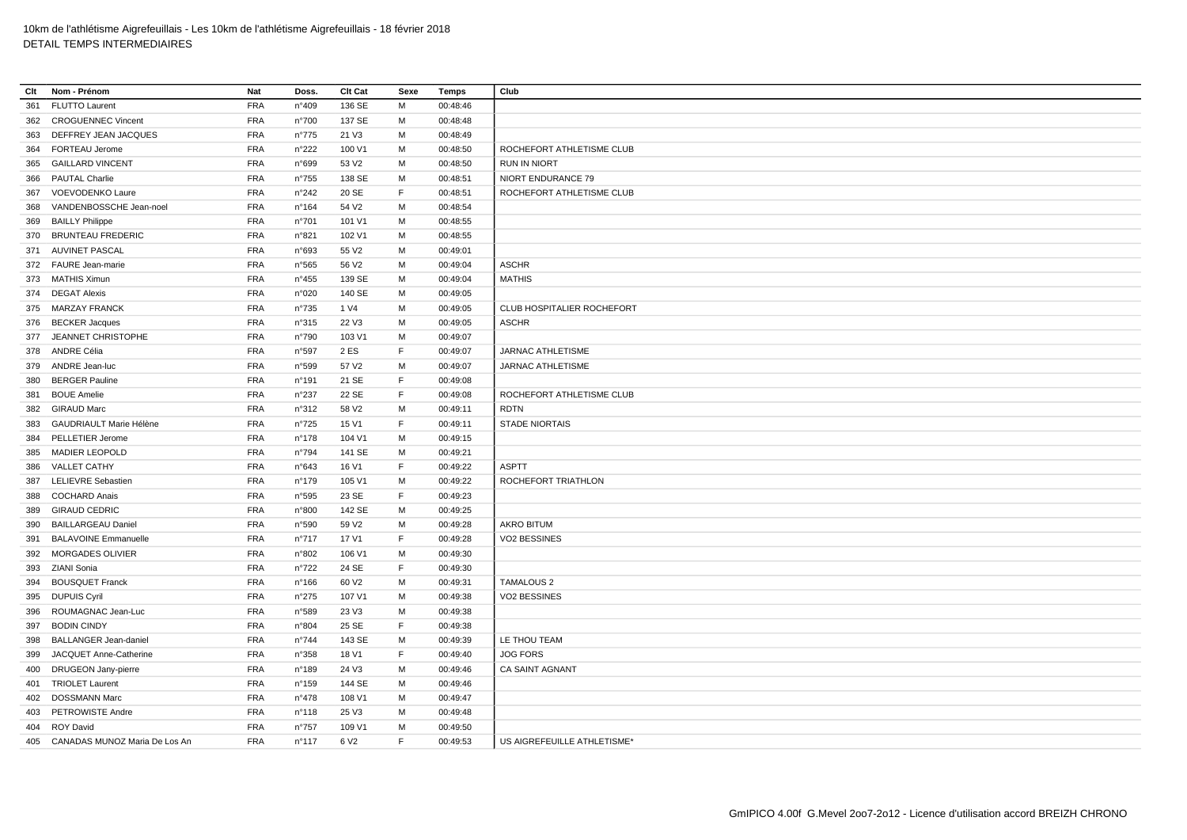| Clt | Nom - Prénom                      | Nat        | Doss.           | Clt Cat           | Sexe | Temps    | Club                        |
|-----|-----------------------------------|------------|-----------------|-------------------|------|----------|-----------------------------|
| 361 | <b>FLUTTO Laurent</b>             | <b>FRA</b> | n°409           | 136 SE            | М    | 00:48:46 |                             |
| 362 | <b>CROGUENNEC Vincent</b>         | <b>FRA</b> | n°700           | 137 SE            | м    | 00:48:48 |                             |
| 363 | DEFFREY JEAN JACQUES              | <b>FRA</b> | $n^{\circ}775$  | 21 V3             | М    | 00:48:49 |                             |
|     | 364 FORTEAU Jerome                | <b>FRA</b> | n°222           | 100 V1            | M    | 00:48:50 | ROCHEFORT ATHLETISME CLUB   |
|     | 365 GAILLARD VINCENT              | <b>FRA</b> | n°699           | 53 V <sub>2</sub> | M    | 00:48:50 | <b>RUN IN NIORT</b>         |
| 366 | <b>PAUTAL Charlie</b>             | <b>FRA</b> | $n^{\circ}755$  | 138 SE            | M    | 00:48:51 | NIORT ENDURANCE 79          |
|     | 367 VOEVODENKO Laure              | <b>FRA</b> | n°242           | 20 SE             | F    | 00:48:51 | ROCHEFORT ATHLETISME CLUB   |
| 368 | VANDENBOSSCHE Jean-noel           | <b>FRA</b> | n°164           | 54 V2             | M    | 00:48:54 |                             |
| 369 | <b>BAILLY Philippe</b>            | <b>FRA</b> | n°701           | 101 V1            | м    | 00:48:55 |                             |
|     | 370 BRUNTEAU FREDERIC             | <b>FRA</b> | n°821           | 102 V1            | м    | 00:48:55 |                             |
|     | 371 AUVINET PASCAL                | <b>FRA</b> | n°693           | 55 V2             | М    | 00:49:01 |                             |
|     | 372 FAURE Jean-marie              | <b>FRA</b> | n°565           | 56 V <sub>2</sub> | M    | 00:49:04 | <b>ASCHR</b>                |
|     | 373 MATHIS Ximun                  | <b>FRA</b> | $n^{\circ}455$  | 139 SE            | M    | 00:49:04 | <b>MATHIS</b>               |
|     | 374 DEGAT Alexis                  | <b>FRA</b> | n°020           | 140 SE            | M    | 00:49:05 |                             |
|     | 375 MARZAY FRANCK                 | <b>FRA</b> | $n^{\circ}735$  | 1 V4              | M    | 00:49:05 | CLUB HOSPITALIER ROCHEFORT  |
|     | 376 BECKER Jacques                | <b>FRA</b> | n°315           | 22 V3             | м    | 00:49:05 | <b>ASCHR</b>                |
|     | 377 JEANNET CHRISTOPHE            | <b>FRA</b> | n°790           | 103 V1            | M    | 00:49:07 |                             |
|     | 378 ANDRE Célia                   | <b>FRA</b> | n°597           | 2 ES              | F    | 00:49:07 | JARNAC ATHLETISME           |
|     | 379 ANDRE Jean-luc                | <b>FRA</b> | n°599           | 57 V2             | М    | 00:49:07 | JARNAC ATHLETISME           |
| 380 | <b>BERGER Pauline</b>             | <b>FRA</b> | n°191           | 21 SE             | F    | 00:49:08 |                             |
| 381 | <b>BOUE Amelie</b>                | <b>FRA</b> | n°237           | 22 SE             | F    | 00:49:08 | ROCHEFORT ATHLETISME CLUB   |
| 382 | <b>GIRAUD Marc</b>                | <b>FRA</b> | n°312           | 58 V2             | M    | 00:49:11 | <b>RDTN</b>                 |
| 383 | GAUDRIAULT Marie Hélène           | <b>FRA</b> | n°725           | 15 V1             | F    | 00:49:11 | <b>STADE NIORTAIS</b>       |
| 384 | PELLETIER Jerome                  | <b>FRA</b> | $n^{\circ}$ 178 | 104 V1            | M    | 00:49:15 |                             |
|     | 385 MADIER LEOPOLD                | <b>FRA</b> | n°794           | 141 SE            | M    | 00:49:21 |                             |
| 386 | <b>VALLET CATHY</b>               | <b>FRA</b> | n°643           | 16 V1             | F    | 00:49:22 | <b>ASPTT</b>                |
|     | 387 LELIEVRE Sebastien            | <b>FRA</b> | $n^{\circ}$ 179 | 105 V1            | М    | 00:49:22 | ROCHEFORT TRIATHLON         |
| 388 | <b>COCHARD Anais</b>              | <b>FRA</b> | n°595           | 23 SE             | F    | 00:49:23 |                             |
|     | 389 GIRAUD CEDRIC                 | <b>FRA</b> | n°800           | 142 SE            | M    | 00:49:25 |                             |
| 390 | <b>BAILLARGEAU Daniel</b>         | <b>FRA</b> | n°590           | 59 V <sub>2</sub> | M    | 00:49:28 | <b>AKRO BITUM</b>           |
| 391 | <b>BALAVOINE Emmanuelle</b>       | <b>FRA</b> | $n^{\circ}717$  | 17 V1             | F    | 00:49:28 | <b>VO2 BESSINES</b>         |
| 392 | <b>MORGADES OLIVIER</b>           | <b>FRA</b> | n°802           | 106 V1            | м    | 00:49:30 |                             |
|     | 393 ZIANI Sonia                   | <b>FRA</b> | $n^{\circ}722$  | 24 SE             | E    | 00:49:30 |                             |
| 394 | <b>BOUSQUET Franck</b>            | <b>FRA</b> | $n^{\circ}166$  | 60 V <sub>2</sub> | М    | 00:49:31 | <b>TAMALOUS 2</b>           |
|     | 395 DUPUIS Cyril                  | <b>FRA</b> | $n^{\circ}275$  | 107 V1            | М    | 00:49:38 | VO2 BESSINES                |
| 396 | ROUMAGNAC Jean-Luc                | <b>FRA</b> | n°589           | 23 V3             | M    | 00:49:38 |                             |
| 397 | <b>BODIN CINDY</b>                | <b>FRA</b> | n°804           | 25 SE             | F    | 00:49:38 |                             |
| 398 | <b>BALLANGER Jean-daniel</b>      | <b>FRA</b> | $n^{\circ}744$  | 143 SE            | М    | 00:49:39 | LE THOU TEAM                |
| 399 | JACQUET Anne-Catherine            | <b>FRA</b> | n°358           | 18 V1             | F    | 00:49:40 | <b>JOG FORS</b>             |
| 400 | <b>DRUGEON Jany-pierre</b>        | <b>FRA</b> | n°189           | 24 V3             | M    | 00:49:46 | <b>CA SAINT AGNANT</b>      |
|     | 401 TRIOLET Laurent               | <b>FRA</b> | $n^{\circ}$ 159 | 144 SE            | M    | 00:49:46 |                             |
| 402 | <b>DOSSMANN Marc</b>              | <b>FRA</b> | $n^{\circ}478$  | 108 V1            | M    | 00:49:47 |                             |
| 403 | PETROWISTE Andre                  | <b>FRA</b> | $n^{\circ}$ 118 | 25 V3             | M    | 00:49:48 |                             |
|     | 404 ROY David                     | <b>FRA</b> | n°757           | 109 V1            | м    | 00:49:50 |                             |
|     | 405 CANADAS MUNOZ Maria De Los An | <b>FRA</b> | $n^{\circ}$ 117 | 6 V <sub>2</sub>  | E    | 00:49:53 | US AIGREFEUILLE ATHLETISME* |
|     |                                   |            |                 |                   |      |          |                             |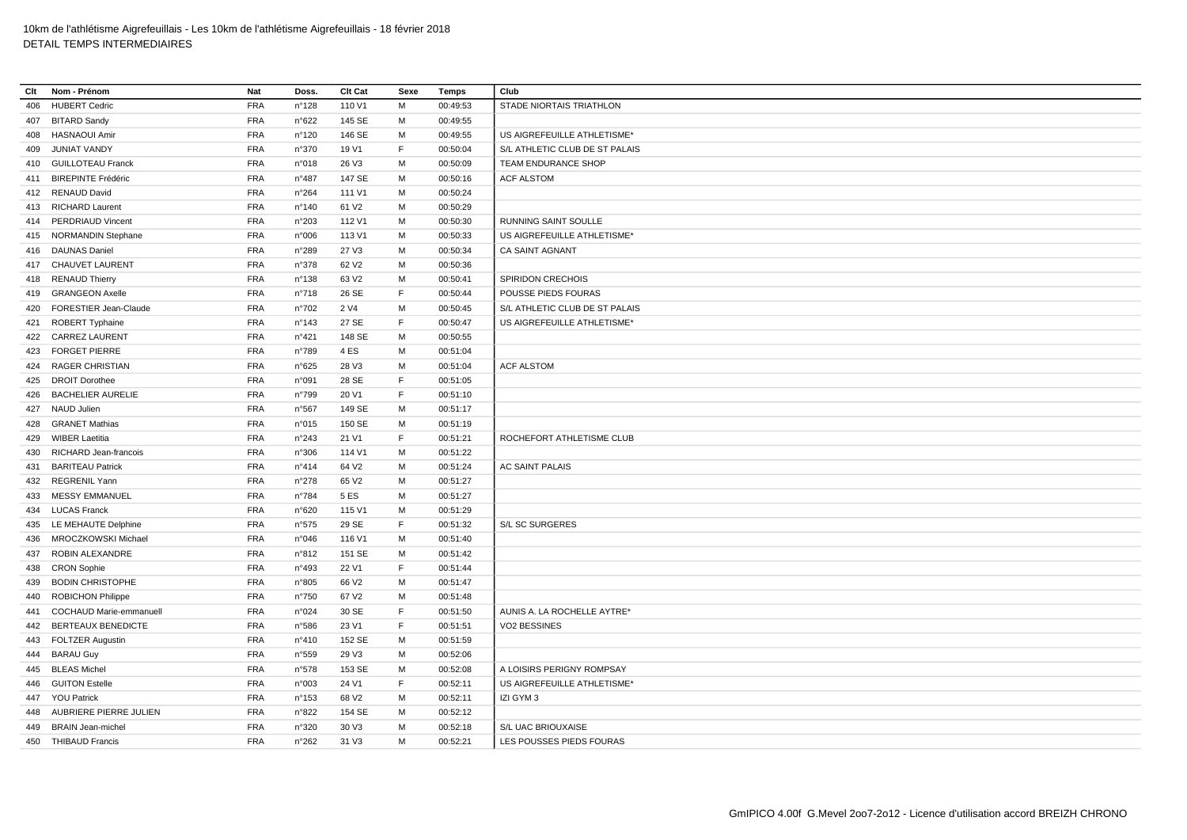| Clt | Nom - Prénom              | Nat        | Doss.           | <b>Clt Cat</b>    | Sexe | Temps    | Club                           |
|-----|---------------------------|------------|-----------------|-------------------|------|----------|--------------------------------|
| 406 | <b>HUBERT Cedric</b>      | <b>FRA</b> | n°128           | 110 V1            | M    | 00:49:53 | STADE NIORTAIS TRIATHLON       |
|     | 407 BITARD Sandy          | <b>FRA</b> | $n^{\circ}622$  | 145 SE            | М    | 00:49:55 |                                |
| 408 | <b>HASNAOUI Amir</b>      | <b>FRA</b> | n°120           | 146 SE            | M    | 00:49:55 | US AIGREFEUILLE ATHLETISME*    |
| 409 | JUNIAT VANDY              | <b>FRA</b> | n°370           | 19 V1             | F    | 00:50:04 | S/L ATHLETIC CLUB DE ST PALAIS |
|     | 410 GUILLOTEAU Franck     | <b>FRA</b> | n°018           | 26 V3             | M    | 00:50:09 | TEAM ENDURANCE SHOP            |
| 411 | <b>BIREPINTE Frédéric</b> | <b>FRA</b> | n°487           | 147 SE            | М    | 00:50:16 | <b>ACF ALSTOM</b>              |
|     | 412 RENAUD David          | <b>FRA</b> | $n^{\circ}264$  | 111 V1            | м    | 00:50:24 |                                |
|     | 413 RICHARD Laurent       | <b>FRA</b> | n°140           | 61 V <sub>2</sub> | M    | 00:50:29 |                                |
| 414 | PERDRIAUD Vincent         | <b>FRA</b> | n°203           | 112 V1            | М    | 00:50:30 | RUNNING SAINT SOULLE           |
|     | 415 NORMANDIN Stephane    | <b>FRA</b> | n°006           | 113 V1            | M    | 00:50:33 | US AIGREFEUILLE ATHLETISME*    |
|     | 416 DAUNAS Daniel         | <b>FRA</b> | n°289           | 27 V3             | м    | 00:50:34 | <b>CA SAINT AGNANT</b>         |
|     | 417 CHAUVET LAURENT       | <b>FRA</b> | n°378           | 62 V <sub>2</sub> | M    | 00:50:36 |                                |
| 418 | <b>RENAUD Thierry</b>     | <b>FRA</b> | $n^{\circ}$ 138 | 63 V2             | м    | 00:50:41 | <b>SPIRIDON CRECHOIS</b>       |
| 419 | <b>GRANGEON Axelle</b>    | <b>FRA</b> | n°718           | 26 SE             | F    | 00:50:44 | POUSSE PIEDS FOURAS            |
| 420 | FORESTIER Jean-Claude     | <b>FRA</b> | n°702           | 2 V4              | M    | 00:50:45 | S/L ATHLETIC CLUB DE ST PALAIS |
| 421 | ROBERT Typhaine           | <b>FRA</b> | n°143           | 27 SE             | F    | 00:50:47 | US AIGREFEUILLE ATHLETISME*    |
|     | 422 CARREZ LAURENT        | <b>FRA</b> | n°421           | 148 SE            | M    | 00:50:55 |                                |
| 423 | <b>FORGET PIERRE</b>      | <b>FRA</b> | n°789           | 4 ES              | M    | 00:51:04 |                                |
|     | 424 RAGER CHRISTIAN       | <b>FRA</b> | n°625           | 28 V3             | М    | 00:51:04 | <b>ACF ALSTOM</b>              |
| 425 | <b>DROIT Dorothee</b>     | <b>FRA</b> | n°091           | 28 SE             | F    | 00:51:05 |                                |
| 426 | <b>BACHELIER AURELIE</b>  | <b>FRA</b> | n°799           | 20 V1             | F    | 00:51:10 |                                |
| 427 | NAUD Julien               | <b>FRA</b> | n°567           | 149 SE            | М    | 00:51:17 |                                |
| 428 | <b>GRANET Mathias</b>     | <b>FRA</b> | n°015           | 150 SE            | М    | 00:51:19 |                                |
| 429 | <b>WIBER Laetitia</b>     | <b>FRA</b> | n°243           | 21 V1             | F    | 00:51:21 | ROCHEFORT ATHLETISME CLUB      |
|     | 430 RICHARD Jean-francois | <b>FRA</b> | n°306           | 114 V1            | M    | 00:51:22 |                                |
| 431 | <b>BARITEAU Patrick</b>   | <b>FRA</b> | $n^{\circ}414$  | 64 V <sub>2</sub> | M    | 00:51:24 | AC SAINT PALAIS                |
|     | 432 REGRENIL Yann         | <b>FRA</b> | n°278           | 65 V2             | M    | 00:51:27 |                                |
| 433 | <b>MESSY EMMANUEL</b>     | <b>FRA</b> | n°784           | 5 ES              | м    | 00:51:27 |                                |
|     | 434 LUCAS Franck          | <b>FRA</b> | n°620           | 115 V1            | M    | 00:51:29 |                                |
|     | 435 LE MEHAUTE Delphine   | <b>FRA</b> | n°575           | 29 SE             | F    | 00:51:32 | S/L SC SURGERES                |
| 436 | MROCZKOWSKI Michael       | <b>FRA</b> | n°046           | 116 V1            | М    | 00:51:40 |                                |
|     | 437 ROBIN ALEXANDRE       | <b>FRA</b> | n°812           | 151 SE            | М    | 00:51:42 |                                |
| 438 | <b>CRON Sophie</b>        | <b>FRA</b> | n°493           | 22 V1             | F    | 00:51:44 |                                |
| 439 | <b>BODIN CHRISTOPHE</b>   | <b>FRA</b> | n°805           | 66 V <sub>2</sub> | M    | 00:51:47 |                                |
| 440 | <b>ROBICHON Philippe</b>  | <b>FRA</b> | $n^{\circ}750$  | 67 V <sub>2</sub> | М    | 00:51:48 |                                |
| 441 | COCHAUD Marie-emmanuell   | <b>FRA</b> | n°024           | 30 SE             | F    | 00:51:50 | AUNIS A. LA ROCHELLE AYTRE*    |
| 442 | BERTEAUX BENEDICTE        | <b>FRA</b> | n°586           | 23 V1             | F    | 00:51:51 | VO2 BESSINES                   |
|     | 443 FOLTZER Augustin      | <b>FRA</b> | n°410           | 152 SE            | M    | 00:51:59 |                                |
|     | 444 BARAU Guy             | <b>FRA</b> | n°559           | 29 V3             | M    | 00:52:06 |                                |
| 445 | <b>BLEAS Michel</b>       | <b>FRA</b> | n°578           | 153 SE            | М    | 00:52:08 | A LOISIRS PERIGNY ROMPSAY      |
|     | 446 GUITON Estelle        | <b>FRA</b> | n°003           | 24 V1             | F    | 00:52:11 | US AIGREFEUILLE ATHLETISME*    |
|     | 447 YOU Patrick           | <b>FRA</b> | $n^{\circ}$ 153 | 68 V <sub>2</sub> | м    | 00:52:11 | IZI GYM 3                      |
| 448 | AUBRIERE PIERRE JULIEN    | <b>FRA</b> | n°822           | 154 SE            | M    | 00:52:12 |                                |
|     | 449 BRAIN Jean-michel     | <b>FRA</b> | n°320           | 30 V3             | M    | 00:52:18 | S/L UAC BRIOUXAISE             |
|     | 450 THIBAUD Francis       | <b>FRA</b> | n°262           | 31 V3             | M    | 00:52:21 | LES POUSSES PIEDS FOURAS       |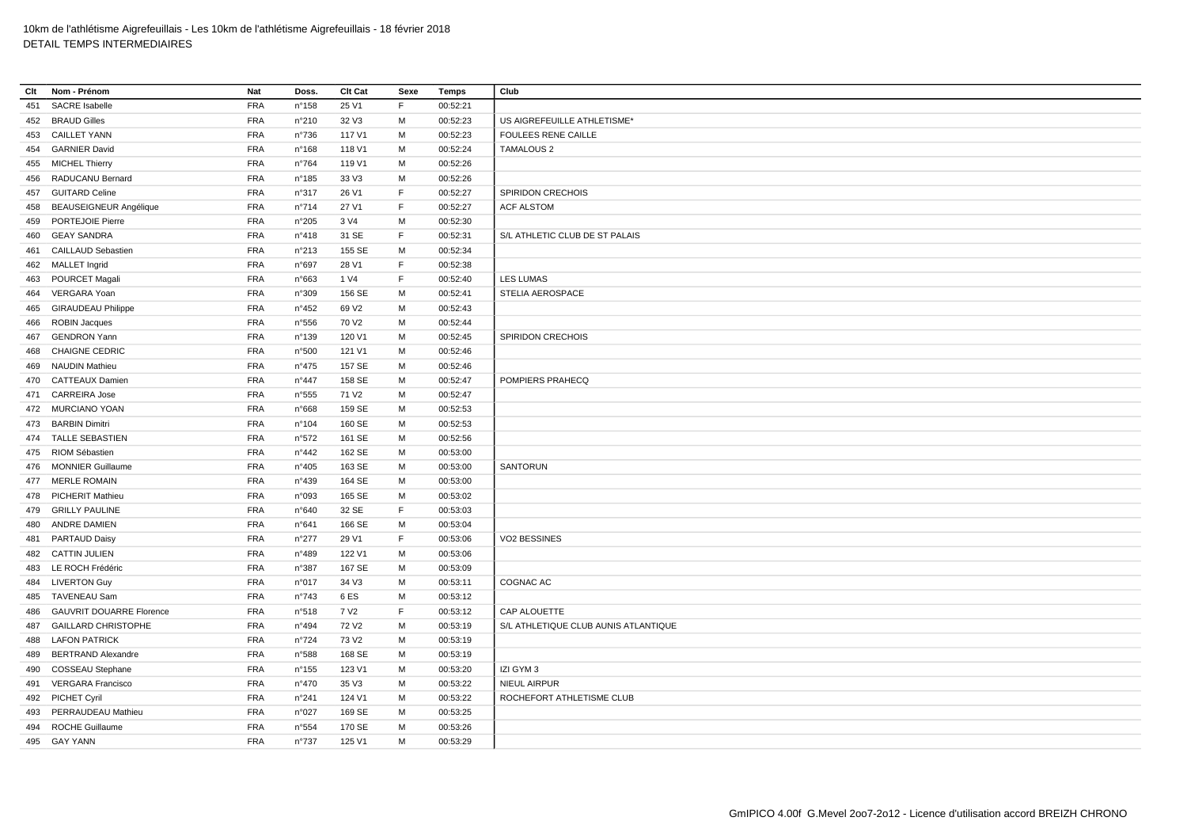| Clt | Nom - Prénom                    | Nat        | Doss.          | Clt Cat           | Sexe        | Temps    | Club                                 |
|-----|---------------------------------|------------|----------------|-------------------|-------------|----------|--------------------------------------|
| 451 | <b>SACRE</b> Isabelle           | <b>FRA</b> | n°158          | 25 V1             | F           | 00:52:21 |                                      |
|     | 452 BRAUD Gilles                | FRA        | n°210          | 32 V3             | M           | 00:52:23 | US AIGREFEUILLE ATHLETISME*          |
| 453 | <b>CAILLET YANN</b>             | <b>FRA</b> | $n^{\circ}736$ | 117 V1            | M           | 00:52:23 | <b>FOULEES RENE CAILLE</b>           |
|     | 454 GARNIER David               | <b>FRA</b> | n°168          | 118 V1            | M           | 00:52:24 | <b>TAMALOUS 2</b>                    |
| 455 | <b>MICHEL Thierry</b>           | FRA        | n°764          | 119 V1            | M           | 00:52:26 |                                      |
| 456 | RADUCANU Bernard                | <b>FRA</b> | n°185          | 33 V3             | м           | 00:52:26 |                                      |
| 457 | <b>GUITARD Celine</b>           | <b>FRA</b> | n°317          | 26 V1             | $\mathsf F$ | 00:52:27 | SPIRIDON CRECHOIS                    |
| 458 | <b>BEAUSEIGNEUR Angélique</b>   | FRA        | $n^{\circ}714$ | 27 V1             | F           | 00:52:27 | <b>ACF ALSTOM</b>                    |
| 459 | PORTEJOIE Pierre                | <b>FRA</b> | n°205          | 3 V4              | M           | 00:52:30 |                                      |
| 460 | <b>GEAY SANDRA</b>              | <b>FRA</b> | n°418          | 31 SE             | F           | 00:52:31 | S/L ATHLETIC CLUB DE ST PALAIS       |
| 461 | <b>CAILLAUD Sebastien</b>       | <b>FRA</b> | n°213          | 155 SE            | M           | 00:52:34 |                                      |
|     | 462 MALLET Ingrid               | <b>FRA</b> | n°697          | 28 V1             | F           | 00:52:38 |                                      |
| 463 | POURCET Magali                  | <b>FRA</b> | n°663          | 1 V4              | F           | 00:52:40 | <b>LES LUMAS</b>                     |
| 464 | VERGARA Yoan                    | FRA        | n°309          | 156 SE            | M           | 00:52:41 | <b>STELIA AEROSPACE</b>              |
| 465 | <b>GIRAUDEAU Philippe</b>       | FRA        | $n^{\circ}452$ | 69 V <sub>2</sub> | M           | 00:52:43 |                                      |
| 466 | <b>ROBIN Jacques</b>            | <b>FRA</b> | n°556          | 70 V <sub>2</sub> | м           | 00:52:44 |                                      |
| 467 | <b>GENDRON Yann</b>             | <b>FRA</b> | n°139          | 120 V1            | M           | 00:52:45 | SPIRIDON CRECHOIS                    |
| 468 | <b>CHAIGNE CEDRIC</b>           | <b>FRA</b> | n°500          | 121 V1            | M           | 00:52:46 |                                      |
| 469 | <b>NAUDIN Mathieu</b>           | <b>FRA</b> | $n^{\circ}475$ | 157 SE            | M           | 00:52:46 |                                      |
|     | 470 CATTEAUX Damien             | <b>FRA</b> | $n^{\circ}447$ | 158 SE            | м           | 00:52:47 | POMPIERS PRAHECQ                     |
|     | 471 CARREIRA Jose               | <b>FRA</b> | n°555          | 71 V <sub>2</sub> | M           | 00:52:47 |                                      |
|     | 472 MURCIANO YOAN               | <b>FRA</b> | n°668          | 159 SE            | M           | 00:52:53 |                                      |
|     | 473 BARBIN Dimitri              | <b>FRA</b> | n°104          | 160 SE            | м           | 00:52:53 |                                      |
| 474 | <b>TALLE SEBASTIEN</b>          | <b>FRA</b> | n°572          | 161 SE            | M           | 00:52:56 |                                      |
|     | 475 RIOM Sébastien              | FRA        | n°442          | 162 SE            | м           | 00:53:00 |                                      |
| 476 | <b>MONNIER Guillaume</b>        | <b>FRA</b> | n°405          | 163 SE            | M           | 00:53:00 | SANTORUN                             |
|     | 477 MERLE ROMAIN                | FRA        | n°439          | 164 SE            | M           | 00:53:00 |                                      |
|     | 478 PICHERIT Mathieu            | <b>FRA</b> | n°093          | 165 SE            | м           | 00:53:02 |                                      |
|     | 479 GRILLY PAULINE              | FRA        | n°640          | 32 SE             | F           | 00:53:03 |                                      |
|     | 480 ANDRE DAMIEN                | <b>FRA</b> | n°641          | 166 SE            | M           | 00:53:04 |                                      |
|     | 481 PARTAUD Daisy               | <b>FRA</b> | $n^{\circ}277$ | 29 V1             | F           | 00:53:06 | VO2 BESSINES                         |
|     | 482 CATTIN JULIEN               | <b>FRA</b> | n°489          | 122 V1            | м           | 00:53:06 |                                      |
|     | 483 LE ROCH Frédéric            | <b>FRA</b> | n°387          | 167 SE            | м           | 00:53:09 |                                      |
|     | 484 LIVERTON Guy                | FRA        | n°017          | 34 V3             | M           | 00:53:11 | COGNAC AC                            |
| 485 | TAVENEAU Sam                    | <b>FRA</b> | n°743          | 6ES               | M           | 00:53:12 |                                      |
| 486 | <b>GAUVRIT DOUARRE Florence</b> | <b>FRA</b> | n°518          | 7 V <sub>2</sub>  | F           | 00:53:12 | CAP ALOUETTE                         |
| 487 | <b>GAILLARD CHRISTOPHE</b>      | <b>FRA</b> | n°494          | 72 V <sub>2</sub> | M           | 00:53:19 | S/L ATHLETIQUE CLUB AUNIS ATLANTIQUE |
|     | 488 LAFON PATRICK               | <b>FRA</b> | $n^{\circ}724$ | 73 V2             | M           | 00:53:19 |                                      |
| 489 | <b>BERTRAND Alexandre</b>       | <b>FRA</b> | n°588          | 168 SE            | м           | 00:53:19 |                                      |
| 490 | COSSEAU Stephane                | <b>FRA</b> | $n^{\circ}155$ | 123 V1            | M           | 00:53:20 | IZI GYM 3                            |
| 491 | <b>VERGARA Francisco</b>        | <b>FRA</b> | $n^{\circ}470$ | 35 V3             | M           | 00:53:22 | NIEUL AIRPUR                         |
|     | 492 PICHET Cyril                | <b>FRA</b> | n°241          | 124 V1            | м           | 00:53:22 | ROCHEFORT ATHLETISME CLUB            |
| 493 | PERRAUDEAU Mathieu              | <b>FRA</b> | n°027          | 169 SE            | M           | 00:53:25 |                                      |
| 494 | <b>ROCHE Guillaume</b>          | <b>FRA</b> | n°554          | 170 SE            | M           | 00:53:26 |                                      |
|     | 495 GAY YANN                    | <b>FRA</b> | n°737          | 125 V1            | M           | 00:53:29 |                                      |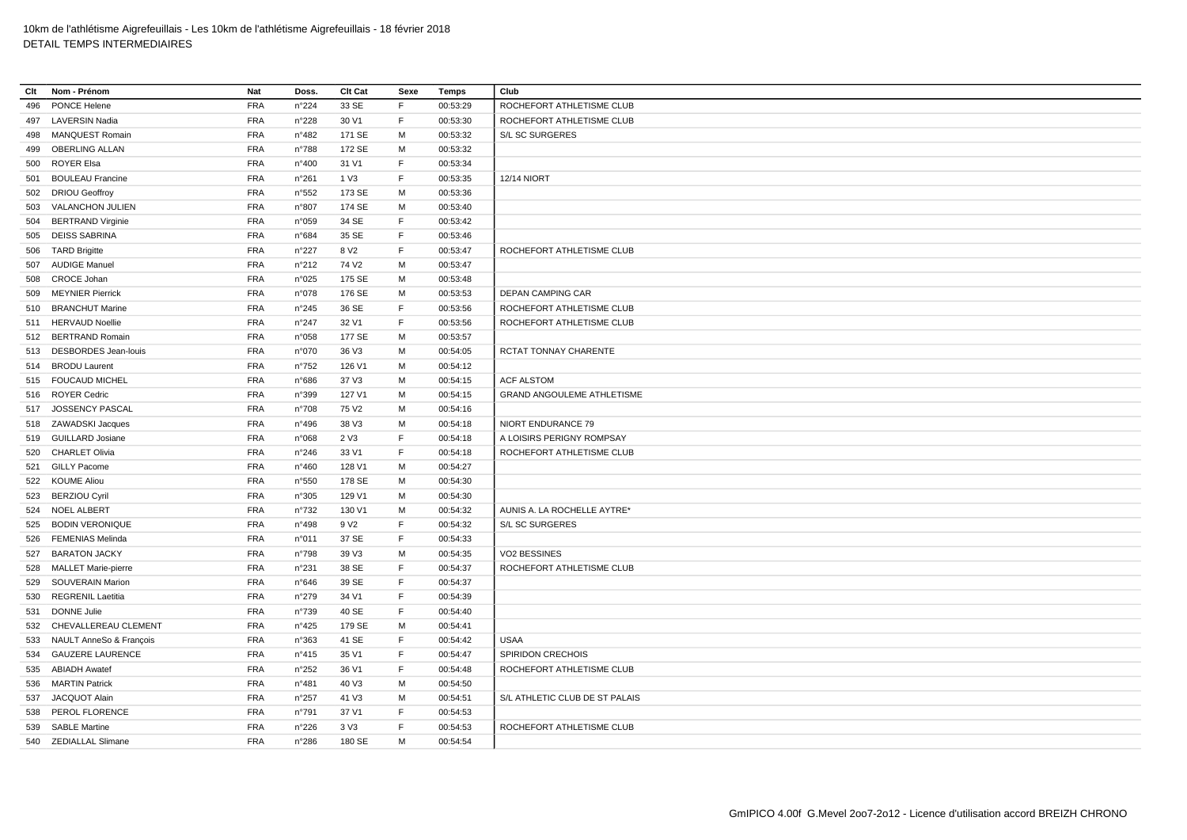| Clt | Nom - Prénom             | Nat        | Doss.          | Clt Cat           | Sexe        | Temps    | Club                           |
|-----|--------------------------|------------|----------------|-------------------|-------------|----------|--------------------------------|
| 496 | PONCE Helene             | <b>FRA</b> | n°224          | 33 SE             | F.          | 00:53:29 | ROCHEFORT ATHLETISME CLUB      |
| 497 | <b>LAVERSIN Nadia</b>    | <b>FRA</b> | n°228          | 30 V1             | $\mathsf F$ | 00:53:30 | ROCHEFORT ATHLETISME CLUB      |
| 498 | <b>MANQUEST Romain</b>   | FRA        | n°482          | 171 SE            | M           | 00:53:32 | S/L SC SURGERES                |
| 499 | <b>OBERLING ALLAN</b>    | <b>FRA</b> | n°788          | 172 SE            | M           | 00:53:32 |                                |
| 500 | <b>ROYER Elsa</b>        | <b>FRA</b> | n°400          | 31 V1             | F           | 00:53:34 |                                |
| 501 | <b>BOULEAU Francine</b>  | <b>FRA</b> | n°261          | 1 V3              | F           | 00:53:35 | <b>12/14 NIORT</b>             |
|     | 502 DRIOU Geoffroy       | <b>FRA</b> | n°552          | 173 SE            | м           | 00:53:36 |                                |
| 503 | VALANCHON JULIEN         | <b>FRA</b> | n°807          | 174 SE            | M           | 00:53:40 |                                |
| 504 | <b>BERTRAND Virginie</b> | <b>FRA</b> | n°059          | 34 SE             | F           | 00:53:42 |                                |
| 505 | <b>DEISS SABRINA</b>     | <b>FRA</b> | n°684          | 35 SE             | F           | 00:53:46 |                                |
| 506 | <b>TARD Brigitte</b>     | <b>FRA</b> | n°227          | 8 V <sub>2</sub>  | F           | 00:53:47 | ROCHEFORT ATHLETISME CLUB      |
|     | 507 AUDIGE Manuel        | <b>FRA</b> | n°212          | 74 V <sub>2</sub> | M           | 00:53:47 |                                |
| 508 | CROCE Johan              | <b>FRA</b> | n°025          | 175 SE            | м           | 00:53:48 |                                |
| 509 | <b>MEYNIER Pierrick</b>  | <b>FRA</b> | n°078          | 176 SE            | M           | 00:53:53 | DEPAN CAMPING CAR              |
|     | 510 BRANCHUT Marine      | <b>FRA</b> | $n^{\circ}245$ | 36 SE             | F           | 00:53:56 | ROCHEFORT ATHLETISME CLUB      |
|     | 511 HERVAUD Noellie      | <b>FRA</b> | n°247          | 32 V1             | F           | 00:53:56 | ROCHEFORT ATHLETISME CLUB      |
|     | 512 BERTRAND Romain      | FRA        | n°058          | 177 SE            | M           | 00:53:57 |                                |
|     | 513 DESBORDES Jean-louis | <b>FRA</b> | n°070          | 36 V3             | м           | 00:54:05 | RCTAT TONNAY CHARENTE          |
| 514 | <b>BRODU Laurent</b>     | <b>FRA</b> | $n^{\circ}752$ | 126 V1            | M           | 00:54:12 |                                |
|     | 515 FOUCAUD MICHEL       | <b>FRA</b> | n°686          | 37 V3             | M           | 00:54:15 | <b>ACF ALSTOM</b>              |
| 516 | <b>ROYER Cedric</b>      | <b>FRA</b> | n°399          | 127 V1            | м           | 00:54:15 | GRAND ANGOULEME ATHLETISME     |
|     | 517 JOSSENCY PASCAL      | FRA        | $n^{\circ}708$ | 75 V2             | M           | 00:54:16 |                                |
|     | 518 ZAWADSKI Jacques     | <b>FRA</b> | n°496          | 38 V3             | M           | 00:54:18 | NIORT ENDURANCE 79             |
|     | 519 GUILLARD Josiane     | <b>FRA</b> | n°068          | 2 V3              | F           | 00:54:18 | A LOISIRS PERIGNY ROMPSAY      |
|     | 520 CHARLET Olivia       | <b>FRA</b> | n°246          | 33 V1             | E           | 00:54:18 | ROCHEFORT ATHLETISME CLUB      |
| 521 | <b>GILLY Pacome</b>      | <b>FRA</b> | n°460          | 128 V1            | M           | 00:54:27 |                                |
|     | 522 KOUME Aliou          | <b>FRA</b> | n°550          | 178 SE            | м           | 00:54:30 |                                |
|     | 523 BERZIOU Cyril        | <b>FRA</b> | n°305          | 129 V1            | м           | 00:54:30 |                                |
|     | 524 NOEL ALBERT          | <b>FRA</b> | $n^{\circ}732$ | 130 V1            | M           | 00:54:32 | AUNIS A. LA ROCHELLE AYTRE*    |
| 525 | <b>BODIN VERONIQUE</b>   | <b>FRA</b> | n°498          | 9 V <sub>2</sub>  | $\mathsf F$ | 00:54:32 | S/L SC SURGERES                |
| 526 | <b>FEMENIAS Melinda</b>  | <b>FRA</b> | n°011          | 37 SE             | F           | 00:54:33 |                                |
| 527 | <b>BARATON JACKY</b>     | <b>FRA</b> | n°798          | 39 V3             | M           | 00:54:35 | <b>VO2 BESSINES</b>            |
|     | 528 MALLET Marie-pierre  | <b>FRA</b> | n°231          | 38 SE             | F           | 00:54:37 | ROCHEFORT ATHLETISME CLUB      |
| 529 | <b>SOUVERAIN Marion</b>  | <b>FRA</b> | $n^{\circ}646$ | 39 SE             | F           | 00:54:37 |                                |
| 530 | <b>REGRENIL Laetitia</b> | <b>FRA</b> | n°279          | 34 V1             | F           | 00:54:39 |                                |
| 531 | <b>DONNE Julie</b>       | <b>FRA</b> | n°739          | 40 SE             | F           | 00:54:40 |                                |
| 532 | CHEVALLEREAU CLEMENT     | <b>FRA</b> | n°425          | 179 SE            | м           | 00:54:41 |                                |
| 533 | NAULT AnneSo & François  | <b>FRA</b> | n°363          | 41 SE             | F           | 00:54:42 | <b>USAA</b>                    |
| 534 | <b>GAUZERE LAURENCE</b>  | <b>FRA</b> | n°415          | 35 V1             | E           | 00:54:47 | SPIRIDON CRECHOIS              |
| 535 | <b>ABIADH Awatef</b>     | <b>FRA</b> | n°252          | 36 V1             | $\mathsf F$ | 00:54:48 | ROCHEFORT ATHLETISME CLUB      |
|     | 536 MARTIN Patrick       | <b>FRA</b> | n°481          | 40 V3             | M           | 00:54:50 |                                |
| 537 | JACQUOT Alain            | <b>FRA</b> | n°257          | 41 V3             | м           | 00:54:51 | S/L ATHLETIC CLUB DE ST PALAIS |
| 538 | PEROL FLORENCE           | <b>FRA</b> | n°791          | 37 V1             | F           | 00:54:53 |                                |
|     | 539 SABLE Martine        | <b>FRA</b> | n°226          | 3 V3              | E           | 00:54:53 | ROCHEFORT ATHLETISME CLUB      |
|     | 540 ZEDIALLAL Slimane    | <b>FRA</b> | n°286          | 180 SE            | M           | 00:54:54 |                                |
|     |                          |            |                |                   |             |          |                                |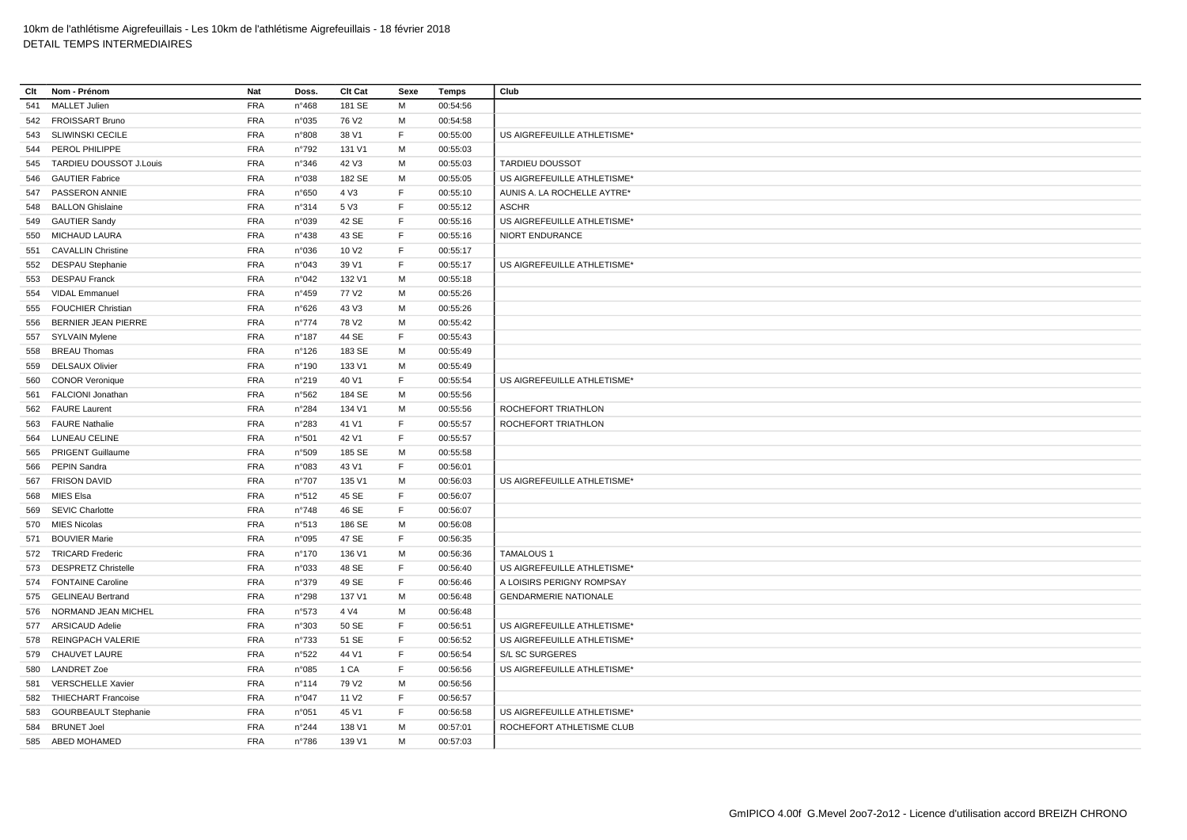| Clt | Nom - Prénom                | Nat        | Doss.           | Clt Cat           | Sexe        | Temps    | Club                         |
|-----|-----------------------------|------------|-----------------|-------------------|-------------|----------|------------------------------|
| 541 | MALLET Julien               | <b>FRA</b> | $n^{\circ}468$  | 181 SE            | M           | 00:54:56 |                              |
|     | 542 FROISSART Bruno         | <b>FRA</b> | n°035           | 76 V <sub>2</sub> | м           | 00:54:58 |                              |
| 543 | <b>SLIWINSKI CECILE</b>     | FRA        | n°808           | 38 V1             | $\mathsf F$ | 00:55:00 | US AIGREFEUILLE ATHLETISME*  |
|     | 544 PEROL PHILIPPE          | <b>FRA</b> | $n^{\circ}792$  | 131 V1            | м           | 00:55:03 |                              |
| 545 | TARDIEU DOUSSOT J.Louis     | <b>FRA</b> | n°346           | 42 V3             | м           | 00:55:03 | <b>TARDIEU DOUSSOT</b>       |
| 546 | <b>GAUTIER Fabrice</b>      | FRA        | n°038           | 182 SE            | M           | 00:55:05 | US AIGREFEUILLE ATHLETISME*  |
|     | 547 PASSERON ANNIE          | <b>FRA</b> | n°650           | 4 V3              | $\mathsf F$ | 00:55:10 | AUNIS A. LA ROCHELLE AYTRE*  |
| 548 | <b>BALLON Ghislaine</b>     | <b>FRA</b> | n°314           | 5 V3              | F           | 00:55:12 | <b>ASCHR</b>                 |
|     | 549 GAUTIER Sandy           | <b>FRA</b> | n°039           | 42 SE             | E           | 00:55:16 | US AIGREFEUILLE ATHLETISME*  |
| 550 | MICHAUD LAURA               | <b>FRA</b> | n°438           | 43 SE             | F           | 00:55:16 | NIORT ENDURANCE              |
|     | 551 CAVALLIN Christine      | <b>FRA</b> | n°036           | 10 V2             | F           | 00:55:17 |                              |
|     | 552 DESPAU Stephanie        | <b>FRA</b> | n°043           | 39 V1             | F           | 00:55:17 | US AIGREFEUILLE ATHLETISME*  |
| 553 | <b>DESPAU Franck</b>        | <b>FRA</b> | n°042           | 132 V1            | M           | 00:55:18 |                              |
| 554 | <b>VIDAL Emmanuel</b>       | <b>FRA</b> | n°459           | 77 V <sub>2</sub> | м           | 00:55:26 |                              |
| 555 | <b>FOUCHIER Christian</b>   | <b>FRA</b> | n°626           | 43 V3             | м           | 00:55:26 |                              |
| 556 | BERNIER JEAN PIERRE         | <b>FRA</b> | $n^{\circ}774$  | 78 V <sub>2</sub> | M           | 00:55:42 |                              |
|     | 557 SYLVAIN Mylene          | <b>FRA</b> | $n^{\circ}187$  | 44 SE             | F           | 00:55:43 |                              |
| 558 | <b>BREAU Thomas</b>         | <b>FRA</b> | n°126           | 183 SE            | M           | 00:55:49 |                              |
| 559 | <b>DELSAUX Olivier</b>      | <b>FRA</b> | n°190           | 133 V1            | M           | 00:55:49 |                              |
| 560 | <b>CONOR Veronique</b>      | <b>FRA</b> | n°219           | 40 V1             | $\mathsf F$ | 00:55:54 | US AIGREFEUILLE ATHLETISME*  |
| 561 | FALCIONI Jonathan           | <b>FRA</b> | n°562           | 184 SE            | M           | 00:55:56 |                              |
| 562 | <b>FAURE Laurent</b>        | <b>FRA</b> | n°284           | 134 V1            | м           | 00:55:56 | ROCHEFORT TRIATHLON          |
|     | 563 FAURE Nathalie          | <b>FRA</b> | n°283           | 41 V1             | F           | 00:55:57 | ROCHEFORT TRIATHLON          |
| 564 | <b>LUNEAU CELINE</b>        | <b>FRA</b> | n°501           | 42 V1             | F           | 00:55:57 |                              |
| 565 | <b>PRIGENT Guillaume</b>    | <b>FRA</b> | n°509           | 185 SE            | м           | 00:55:58 |                              |
| 566 | PEPIN Sandra                | <b>FRA</b> | n°083           | 43 V1             | F           | 00:56:01 |                              |
| 567 | <b>FRISON DAVID</b>         | <b>FRA</b> | n°707           | 135 V1            | M           | 00:56:03 | US AIGREFEUILLE ATHLETISME*  |
| 568 | MIES Elsa                   | <b>FRA</b> | n°512           | 45 SE             | F           | 00:56:07 |                              |
| 569 | <b>SEVIC Charlotte</b>      | <b>FRA</b> | n°748           | 46 SE             | F           | 00:56:07 |                              |
|     | 570 MIES Nicolas            | <b>FRA</b> | n°513           | 186 SE            | M           | 00:56:08 |                              |
|     | 571 BOUVIER Marie           | <b>FRA</b> | n°095           | 47 SE             | F           | 00:56:35 |                              |
|     | 572 TRICARD Frederic        | <b>FRA</b> | $n^{\circ}170$  | 136 V1            | M           | 00:56:36 | <b>TAMALOUS 1</b>            |
|     | 573 DESPRETZ Christelle     | <b>FRA</b> | n°033           | 48 SE             | F           | 00:56:40 | US AIGREFEUILLE ATHLETISME*  |
|     | 574 FONTAINE Caroline       | <b>FRA</b> | n°379           | 49 SE             | E           | 00:56:46 | A LOISIRS PERIGNY ROMPSAY    |
| 575 | <b>GELINEAU Bertrand</b>    | <b>FRA</b> | n°298           | 137 V1            | M           | 00:56:48 | <b>GENDARMERIE NATIONALE</b> |
|     | 576 NORMAND JEAN MICHEL     | <b>FRA</b> | n°573           | 4 V4              | м           | 00:56:48 |                              |
| 577 | <b>ARSICAUD Adelie</b>      | <b>FRA</b> | n°303           | 50 SE             | $\mathsf F$ | 00:56:51 | US AIGREFEUILLE ATHLETISME*  |
| 578 | REINGPACH VALERIE           | <b>FRA</b> | n°733           | 51 SE             | E           | 00:56:52 | US AIGREFEUILLE ATHLETISME*  |
| 579 | CHAUVET LAURE               | <b>FRA</b> | n°522           | 44 V1             | E           | 00:56:54 | S/L SC SURGERES              |
| 580 | <b>LANDRET Zoe</b>          | <b>FRA</b> | n°085           | 1 CA              | F           | 00:56:56 | US AIGREFEUILLE ATHLETISME*  |
| 581 | <b>VERSCHELLE Xavier</b>    | <b>FRA</b> | $n^{\circ}$ 114 | 79 V <sub>2</sub> | м           | 00:56:56 |                              |
| 582 | <b>THIECHART Francoise</b>  | <b>FRA</b> | n°047           | 11 V <sub>2</sub> | F           | 00:56:57 |                              |
| 583 | <b>GOURBEAULT Stephanie</b> | <b>FRA</b> | n°051           | 45 V1             | F           | 00:56:58 | US AIGREFEUILLE ATHLETISME*  |
| 584 | <b>BRUNET Joel</b>          | <b>FRA</b> | n°244           | 138 V1            | M           | 00:57:01 | ROCHEFORT ATHLETISME CLUB    |
|     | 585 ABED MOHAMED            | <b>FRA</b> | n°786           | 139 V1            | M           | 00:57:03 |                              |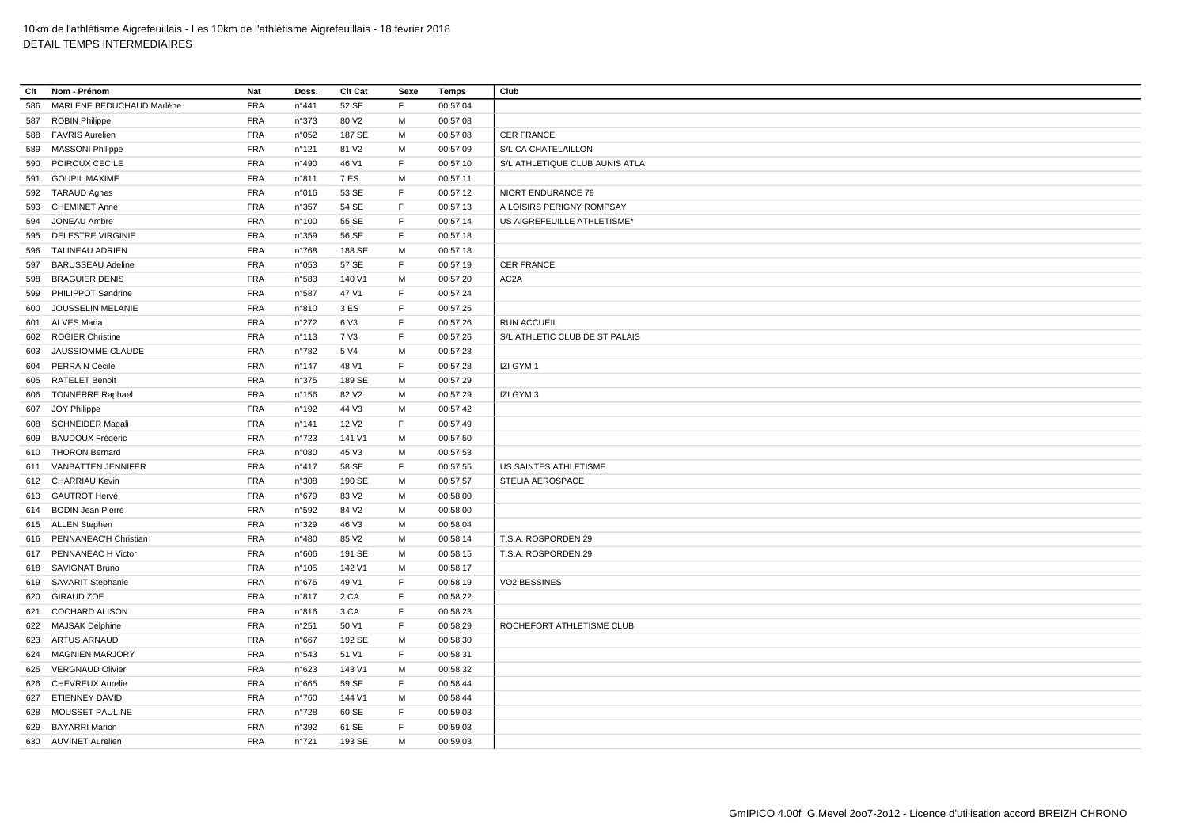| Clt | Nom - Prénom              | Nat        | Doss.           | Clt Cat           | Sexe | Temps    | Club                           |
|-----|---------------------------|------------|-----------------|-------------------|------|----------|--------------------------------|
| 586 | MARLENE BEDUCHAUD Marlène | <b>FRA</b> | n°441           | 52 SE             | F    | 00:57:04 |                                |
| 587 | <b>ROBIN Philippe</b>     | <b>FRA</b> | n°373           | 80 V <sub>2</sub> | М    | 00:57:08 |                                |
| 588 | <b>FAVRIS Aurelien</b>    | <b>FRA</b> | n°052           | 187 SE            | М    | 00:57:08 | <b>CER FRANCE</b>              |
| 589 | <b>MASSONI Philippe</b>   | <b>FRA</b> | n°121           | 81 V2             | M    | 00:57:09 | S/L CA CHATELAILLON            |
| 590 | POIROUX CECILE            | <b>FRA</b> | n°490           | 46 V1             | F    | 00:57:10 | S/L ATHLETIQUE CLUB AUNIS ATLA |
| 591 | <b>GOUPIL MAXIME</b>      | <b>FRA</b> | n°811           | 7 ES              | M    | 00:57:11 |                                |
|     | 592 TARAUD Agnes          | <b>FRA</b> | n°016           | 53 SE             | F    | 00:57:12 | NIORT ENDURANCE 79             |
| 593 | <b>CHEMINET Anne</b>      | <b>FRA</b> | n°357           | 54 SE             | F    | 00:57:13 | A LOISIRS PERIGNY ROMPSAY      |
| 594 | <b>JONEAU Ambre</b>       | <b>FRA</b> | $n^{\circ}100$  | 55 SE             | F.   | 00:57:14 | US AIGREFEUILLE ATHLETISME*    |
| 595 | DELESTRE VIRGINIE         | <b>FRA</b> | n°359           | 56 SE             | F    | 00:57:18 |                                |
| 596 | <b>TALINEAU ADRIEN</b>    | <b>FRA</b> | n°768           | 188 SE            | M    | 00:57:18 |                                |
| 597 | <b>BARUSSEAU Adeline</b>  | <b>FRA</b> | n°053           | 57 SE             | F    | 00:57:19 | <b>CER FRANCE</b>              |
| 598 | <b>BRAGUIER DENIS</b>     | <b>FRA</b> | n°583           | 140 V1            | M    | 00:57:20 | AC <sub>2</sub> A              |
| 599 | PHILIPPOT Sandrine        | <b>FRA</b> | n°587           | 47 V1             | F    | 00:57:24 |                                |
| 600 | JOUSSELIN MELANIE         | <b>FRA</b> | n°810           | 3 ES              | F    | 00:57:25 |                                |
| 601 | <b>ALVES Maria</b>        | <b>FRA</b> | $n^{\circ}272$  | 6 V3              | F    | 00:57:26 | <b>RUN ACCUEIL</b>             |
|     | 602 ROGIER Christine      | <b>FRA</b> | $n^{\circ}113$  | 7 V3              | F    | 00:57:26 | S/L ATHLETIC CLUB DE ST PALAIS |
| 603 | JAUSSIOMME CLAUDE         | <b>FRA</b> | n°782           | 5 V4              | M    | 00:57:28 |                                |
|     | 604 PERRAIN Cecile        | <b>FRA</b> | $n^{\circ}$ 147 | 48 V1             | F    | 00:57:28 | IZI GYM 1                      |
|     | 605 RATELET Benoit        | <b>FRA</b> | n°375           | 189 SE            | M    | 00:57:29 |                                |
| 606 | <b>TONNERRE Raphael</b>   | <b>FRA</b> | $n^{\circ}$ 156 | 82 V <sub>2</sub> | M    | 00:57:29 | IZI GYM 3                      |
|     | 607 JOY Philippe          | <b>FRA</b> | $n^{\circ}$ 192 | 44 V3             | M    | 00:57:42 |                                |
| 608 | <b>SCHNEIDER Magali</b>   | <b>FRA</b> | $n^{\circ}$ 141 | 12 V <sub>2</sub> | F    | 00:57:49 |                                |
| 609 | <b>BAUDOUX Frédéric</b>   | <b>FRA</b> | n°723           | 141 V1            | М    | 00:57:50 |                                |
|     | 610 THORON Bernard        | <b>FRA</b> | n°080           | 45 V3             | м    | 00:57:53 |                                |
| 611 | VANBATTEN JENNIFER        | <b>FRA</b> | n°417           | 58 SE             | F    | 00:57:55 | US SAINTES ATHLETISME          |
|     | 612 CHARRIAU Kevin        | <b>FRA</b> | n°308           | 190 SE            | M    | 00:57:57 | STELIA AEROSPACE               |
|     | 613 GAUTROT Hervé         | <b>FRA</b> | n°679           | 83 V <sub>2</sub> | M    | 00:58:00 |                                |
|     | 614 BODIN Jean Pierre     | <b>FRA</b> | n°592           | 84 V2             | M    | 00:58:00 |                                |
|     | 615 ALLEN Stephen         | <b>FRA</b> | n°329           | 46 V3             | M    | 00:58:04 |                                |
| 616 | PENNANEAC'H Christian     | <b>FRA</b> | n°480           | 85 V2             | M    | 00:58:14 | T.S.A. ROSPORDEN 29            |
|     | 617 PENNANEAC H Victor    | <b>FRA</b> | n°606           | 191 SE            | М    | 00:58:15 | T.S.A. ROSPORDEN 29            |
|     | 618 SAVIGNAT Bruno        | <b>FRA</b> | n°105           | 142 V1            | M    | 00:58:17 |                                |
|     | 619 SAVARIT Stephanie     | <b>FRA</b> | $n^{\circ}675$  | 49 V1             | E    | 00:58:19 | VO2 BESSINES                   |
| 620 | <b>GIRAUD ZOE</b>         | <b>FRA</b> | n°817           | 2 CA              | F    | 00:58:22 |                                |
| 621 | <b>COCHARD ALISON</b>     | <b>FRA</b> | n°816           | 3 CA              | E    | 00:58:23 |                                |
| 622 | <b>MAJSAK Delphine</b>    | <b>FRA</b> | n°251           | 50 V1             | F    | 00:58:29 | ROCHEFORT ATHLETISME CLUB      |
|     | 623 ARTUS ARNAUD          | <b>FRA</b> | n°667           | 192 SE            | M    | 00:58:30 |                                |
| 624 | <b>MAGNIEN MARJORY</b>    | <b>FRA</b> | n°543           | 51 V1             | F    | 00:58:31 |                                |
| 625 | <b>VERGNAUD Olivier</b>   | <b>FRA</b> | n°623           | 143 V1            | М    | 00:58:32 |                                |
| 626 | <b>CHEVREUX Aurelie</b>   | <b>FRA</b> | $n^{\circ}665$  | 59 SE             | F    | 00:58:44 |                                |
|     | 627 ETIENNEY DAVID        | <b>FRA</b> | n°760           | 144 V1            | м    | 00:58:44 |                                |
|     | 628 MOUSSET PAULINE       | <b>FRA</b> | $n^{\circ}728$  | 60 SE             | E    | 00:59:03 |                                |
| 629 | <b>BAYARRI Marion</b>     | <b>FRA</b> | n°392           | 61 SE             | F    | 00:59:03 |                                |
|     | 630 AUVINET Aurelien      | <b>FRA</b> | n°721           | 193 SE            | M    | 00:59:03 |                                |
|     |                           |            |                 |                   |      |          |                                |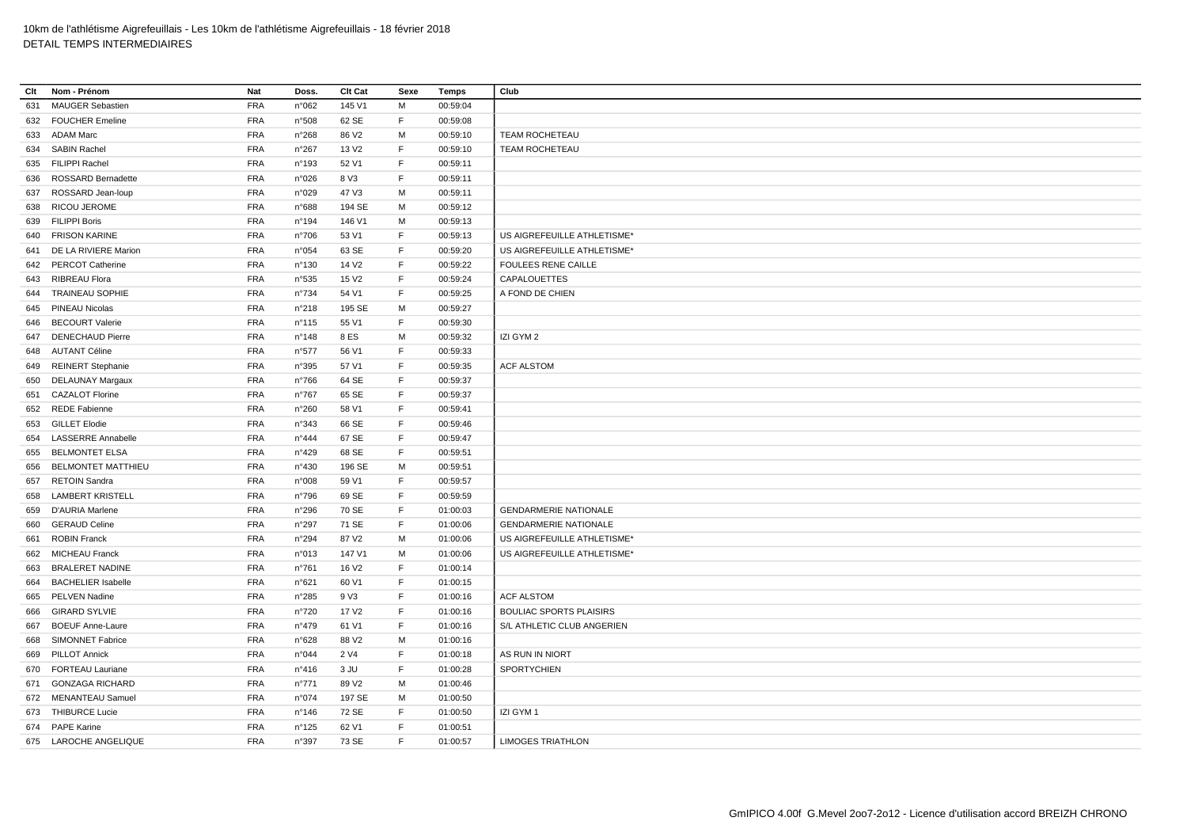| Clt | Nom - Prénom              | Nat        | Doss.           | Clt Cat           | Sexe        | Temps    | Club                           |
|-----|---------------------------|------------|-----------------|-------------------|-------------|----------|--------------------------------|
| 631 | <b>MAUGER Sebastien</b>   | <b>FRA</b> | n°062           | 145 V1            | M           | 00:59:04 |                                |
|     | 632 FOUCHER Emeline       | FRA        | n°508           | 62 SE             | F           | 00:59:08 |                                |
| 633 | <b>ADAM Marc</b>          | <b>FRA</b> | n°268           | 86 V <sub>2</sub> | M           | 00:59:10 | TEAM ROCHETEAU                 |
|     | 634 SABIN Rachel          | <b>FRA</b> | n°267           | 13 V <sub>2</sub> | F           | 00:59:10 | <b>TEAM ROCHETEAU</b>          |
|     | 635 FILIPPI Rachel        | <b>FRA</b> | n°193           | 52 V1             | F           | 00:59:11 |                                |
|     | 636 ROSSARD Bernadette    | <b>FRA</b> | n°026           | 8 V3              | F           | 00:59:11 |                                |
|     | 637 ROSSARD Jean-loup     | <b>FRA</b> | n°029           | 47 V3             | M           | 00:59:11 |                                |
|     | 638 RICOU JEROME          | <b>FRA</b> | n°688           | 194 SE            | M           | 00:59:12 |                                |
|     | 639 FILIPPI Boris         | <b>FRA</b> | n°194           | 146 V1            | M           | 00:59:13 |                                |
|     | 640 FRISON KARINE         | <b>FRA</b> | n°706           | 53 V1             | F           | 00:59:13 | US AIGREFEUILLE ATHLETISME*    |
| 641 | DE LA RIVIERE Marion      | <b>FRA</b> | n°054           | 63 SE             | F           | 00:59:20 | US AIGREFEUILLE ATHLETISME*    |
|     | 642 PERCOT Catherine      | <b>FRA</b> | $n^{\circ}$ 130 | 14 V <sub>2</sub> | F           | 00:59:22 | FOULEES RENE CAILLE            |
|     | 643 RIBREAU Flora         | <b>FRA</b> | n°535           | 15 V <sub>2</sub> | F           | 00:59:24 | CAPALOUETTES                   |
| 644 | <b>TRAINEAU SOPHIE</b>    | <b>FRA</b> | n°734           | 54 V1             | F           | 00:59:25 | A FOND DE CHIEN                |
|     | 645 PINEAU Nicolas        | <b>FRA</b> | n°218           | 195 SE            | M           | 00:59:27 |                                |
| 646 | <b>BECOURT Valerie</b>    | <b>FRA</b> | $n^{\circ}$ 115 | 55 V1             | F           | 00:59:30 |                                |
|     | 647 DENECHAUD Pierre      | <b>FRA</b> | n°148           | 8 ES              | M           | 00:59:32 | IZI GYM 2                      |
|     | 648 AUTANT Céline         | <b>FRA</b> | n°577           | 56 V1             | F           | 00:59:33 |                                |
|     | 649 REINERT Stephanie     | <b>FRA</b> | n°395           | 57 V1             | F           | 00:59:35 | <b>ACF ALSTOM</b>              |
| 650 | DELAUNAY Margaux          | <b>FRA</b> | $n^{\circ}766$  | 64 SE             | $\mathsf F$ | 00:59:37 |                                |
| 651 | <b>CAZALOT Florine</b>    | <b>FRA</b> | n°767           | 65 SE             | E           | 00:59:37 |                                |
|     | 652 REDE Fabienne         | <b>FRA</b> | n°260           | 58 V1             | E           | 00:59:41 |                                |
| 653 | <b>GILLET Elodie</b>      | <b>FRA</b> | n°343           | 66 SE             | F           | 00:59:46 |                                |
| 654 | <b>LASSERRE Annabelle</b> | <b>FRA</b> | n°444           | 67 SE             | F           | 00:59:47 |                                |
|     | 655 BELMONTET ELSA        | <b>FRA</b> | n°429           | 68 SE             | E           | 00:59:51 |                                |
| 656 | <b>BELMONTET MATTHIEU</b> | <b>FRA</b> | n°430           | 196 SE            | M           | 00:59:51 |                                |
| 657 | <b>RETOIN Sandra</b>      | <b>FRA</b> | n°008           | 59 V1             | F           | 00:59:57 |                                |
| 658 | <b>LAMBERT KRISTELL</b>   | <b>FRA</b> | n°796           | 69 SE             | $\mathsf F$ | 00:59:59 |                                |
| 659 | D'AURIA Marlene           | <b>FRA</b> | n°296           | 70 SE             | E           | 01:00:03 | <b>GENDARMERIE NATIONALE</b>   |
| 660 | <b>GERAUD Celine</b>      | <b>FRA</b> | n°297           | 71 SE             | F           | 01:00:06 | <b>GENDARMERIE NATIONALE</b>   |
| 661 | <b>ROBIN Franck</b>       | <b>FRA</b> | n°294           | 87 V2             | M           | 01:00:06 | US AIGREFEUILLE ATHLETISME*    |
|     | 662 MICHEAU Franck        | <b>FRA</b> | n°013           | 147 V1            | M           | 01:00:06 | US AIGREFEUILLE ATHLETISME*    |
| 663 | <b>BRALERET NADINE</b>    | <b>FRA</b> | n°761           | 16 V <sub>2</sub> | F           | 01:00:14 |                                |
| 664 | <b>BACHELIER Isabelle</b> | <b>FRA</b> | n°621           | 60 V1             | E           | 01:00:15 |                                |
|     | 665 PELVEN Nadine         | <b>FRA</b> | n°285           | 9 V3              | F           | 01:00:16 | <b>ACF ALSTOM</b>              |
| 666 | <b>GIRARD SYLVIE</b>      | <b>FRA</b> | n°720           | 17 V <sub>2</sub> | F           | 01:00:16 | <b>BOULIAC SPORTS PLAISIRS</b> |
| 667 | <b>BOEUF Anne-Laure</b>   | <b>FRA</b> | n°479           | 61 V1             | $\mathsf F$ | 01:00:16 | S/L ATHLETIC CLUB ANGERIEN     |
| 668 | <b>SIMONNET Fabrice</b>   | <b>FRA</b> | n°628           | 88 V2             | M           | 01:00:16 |                                |
| 669 | <b>PILLOT Annick</b>      | <b>FRA</b> | n°044           | 2 V4              | F           | 01:00:18 | AS RUN IN NIORT                |
|     | 670 FORTEAU Lauriane      | <b>FRA</b> | n°416           | 3 JU              | F           | 01:00:28 | <b>SPORTYCHIEN</b>             |
| 671 | <b>GONZAGA RICHARD</b>    | <b>FRA</b> | $n^{\circ}771$  | 89 V <sub>2</sub> | M           | 01:00:46 |                                |
|     | 672 MENANTEAU Samuel      | <b>FRA</b> | n°074           | 197 SE            | M           | 01:00:50 |                                |
|     | 673 THIBURCE Lucie        | <b>FRA</b> | n°146           | 72 SE             | F           | 01:00:50 | IZI GYM 1                      |
|     | 674 PAPE Karine           | <b>FRA</b> | n°125           | 62 V1             | E           | 01:00:51 |                                |
|     | 675 LAROCHE ANGELIQUE     | <b>FRA</b> | n°397           | 73 SE             | E           | 01:00:57 | <b>LIMOGES TRIATHLON</b>       |
|     |                           |            |                 |                   |             |          |                                |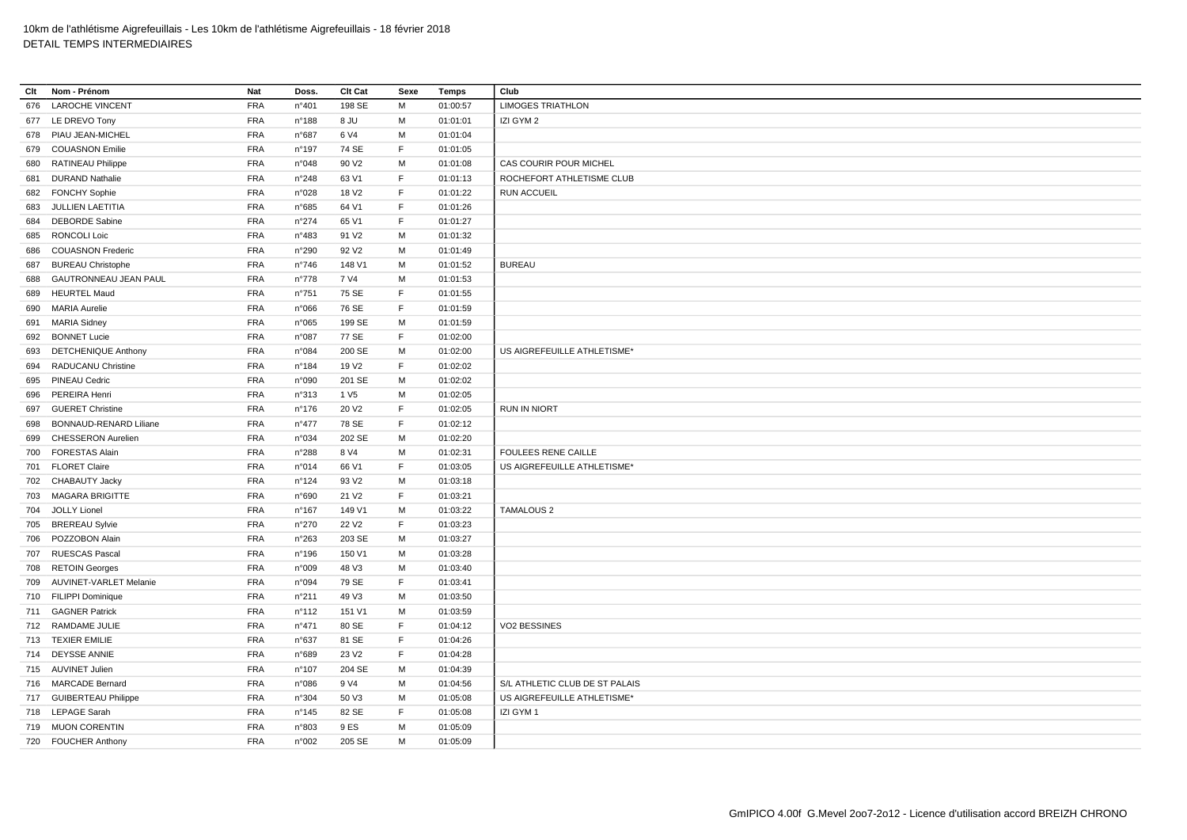| Clt | Nom - Prénom               | Nat        | Doss.           | Clt Cat           | Sexe | Temps    | Club                           |
|-----|----------------------------|------------|-----------------|-------------------|------|----------|--------------------------------|
|     | 676 LAROCHE VINCENT        | <b>FRA</b> | n°401           | 198 SE            | M    | 01:00:57 | <b>LIMOGES TRIATHLON</b>       |
|     | 677 LE DREVO Tony          | <b>FRA</b> | n°188           | 8 JU              | М    | 01:01:01 | IZI GYM 2                      |
| 678 | PIAU JEAN-MICHEL           | <b>FRA</b> | n°687           | 6 V4              | M    | 01:01:04 |                                |
|     | 679 COUASNON Emilie        | <b>FRA</b> | n°197           | 74 SE             | E    | 01:01:05 |                                |
| 680 | <b>RATINEAU Philippe</b>   | <b>FRA</b> | n°048           | 90 V <sub>2</sub> | M    | 01:01:08 | CAS COURIR POUR MICHEL         |
| 681 | <b>DURAND Nathalie</b>     | <b>FRA</b> | n°248           | 63 V1             | E    | 01:01:13 | ROCHEFORT ATHLETISME CLUB      |
|     | 682 FONCHY Sophie          | <b>FRA</b> | n°028           | 18 V <sub>2</sub> | F    | 01:01:22 | <b>RUN ACCUEIL</b>             |
| 683 | JULLIEN LAETITIA           | <b>FRA</b> | n°685           | 64 V1             | F    | 01:01:26 |                                |
| 684 | <b>DEBORDE Sabine</b>      | <b>FRA</b> | $n^{\circ}274$  | 65 V1             | F    | 01:01:27 |                                |
| 685 | RONCOLI Loic               | <b>FRA</b> | n°483           | 91 V <sub>2</sub> | M    | 01:01:32 |                                |
| 686 | <b>COUASNON Frederic</b>   | <b>FRA</b> | n°290           | 92 V <sub>2</sub> | М    | 01:01:49 |                                |
| 687 | <b>BUREAU Christophe</b>   | <b>FRA</b> | $n^{\circ}746$  | 148 V1            | M    | 01:01:52 | <b>BUREAU</b>                  |
| 688 | GAUTRONNEAU JEAN PAUL      | <b>FRA</b> | $n^{\circ}778$  | 7 V4              | M    | 01:01:53 |                                |
| 689 | <b>HEURTEL Maud</b>        | <b>FRA</b> | n°751           | 75 SE             | F    | 01:01:55 |                                |
| 690 | <b>MARIA Aurelie</b>       | <b>FRA</b> | n°066           | 76 SE             | F    | 01:01:59 |                                |
| 691 | <b>MARIA Sidney</b>        | <b>FRA</b> | n°065           | 199 SE            | м    | 01:01:59 |                                |
|     | 692 BONNET Lucie           | <b>FRA</b> | n°087           | 77 SE             | F    | 01:02:00 |                                |
| 693 | <b>DETCHENIQUE Anthony</b> | <b>FRA</b> | n°084           | 200 SE            | M    | 01:02:00 | US AIGREFEUILLE ATHLETISME*    |
|     | 694 RADUCANU Christine     | <b>FRA</b> | $n^{\circ}184$  | 19 V <sub>2</sub> | E    | 01:02:02 |                                |
| 695 | PINEAU Cedric              | <b>FRA</b> | n°090           | 201 SE            | м    | 01:02:02 |                                |
| 696 | PEREIRA Henri              | <b>FRA</b> | n°313           | 1 V <sub>5</sub>  | M    | 01:02:05 |                                |
| 697 | <b>GUERET Christine</b>    | <b>FRA</b> | $n^{\circ}$ 176 | 20 V <sub>2</sub> | F    | 01:02:05 | <b>RUN IN NIORT</b>            |
| 698 | BONNAUD-RENARD Liliane     | <b>FRA</b> | $n^{\circ}477$  | 78 SE             | F    | 01:02:12 |                                |
| 699 | <b>CHESSERON Aurelien</b>  | <b>FRA</b> | n°034           | 202 SE            | М    | 01:02:20 |                                |
|     | 700 FORESTAS Alain         | <b>FRA</b> | n°288           | 8 V4              | M    | 01:02:31 | <b>FOULEES RENE CAILLE</b>     |
|     | 701 FLORET Claire          | <b>FRA</b> | n°014           | 66 V1             | F    | 01:03:05 | US AIGREFEUILLE ATHLETISME*    |
| 702 | <b>CHABAUTY Jacky</b>      | <b>FRA</b> | n°124           | 93 V <sub>2</sub> | M    | 01:03:18 |                                |
|     | 703 MAGARA BRIGITTE        | <b>FRA</b> | n°690           | 21 V <sub>2</sub> | F    | 01:03:21 |                                |
| 704 | <b>JOLLY Lionel</b>        | <b>FRA</b> | n°167           | 149 V1            | м    | 01:03:22 | <b>TAMALOUS 2</b>              |
|     | 705 BREREAU Sylvie         | <b>FRA</b> | n°270           | 22 V <sub>2</sub> | F    | 01:03:23 |                                |
| 706 | POZZOBON Alain             | <b>FRA</b> | n°263           | 203 SE            | М    | 01:03:27 |                                |
|     | 707 RUESCAS Pascal         | <b>FRA</b> | n°196           | 150 V1            | М    | 01:03:28 |                                |
|     | 708 RETOIN Georges         | <b>FRA</b> | n°009           | 48 V3             | M    | 01:03:40 |                                |
| 709 | AUVINET-VARLET Melanie     | <b>FRA</b> | n°094           | 79 SE             | F    | 01:03:41 |                                |
|     | 710 FILIPPI Dominique      | <b>FRA</b> | n°211           | 49 V3             | M    | 01:03:50 |                                |
|     | 711 GAGNER Patrick         | <b>FRA</b> | n°112           | 151 V1            | M    | 01:03:59 |                                |
|     | 712 RAMDAME JULIE          | <b>FRA</b> | n°471           | 80 SE             | F    | 01:04:12 | VO2 BESSINES                   |
|     | 713 TEXIER EMILIE          | <b>FRA</b> | n°637           | 81 SE             | F    | 01:04:26 |                                |
|     | 714 DEYSSE ANNIE           | <b>FRA</b> | n°689           | 23 V <sub>2</sub> | F    | 01:04:28 |                                |
|     | 715 AUVINET Julien         | <b>FRA</b> | $n^{\circ}107$  | 204 SE            | M    | 01:04:39 |                                |
|     | 716 MARCADE Bernard        | <b>FRA</b> | n°086           | 9 V4              | M    | 01:04:56 | S/L ATHLETIC CLUB DE ST PALAIS |
|     | 717 GUIBERTEAU Philippe    | <b>FRA</b> | n°304           | 50 V3             | M    | 01:05:08 | US AIGREFEUILLE ATHLETISME*    |
|     | 718 LEPAGE Sarah           | <b>FRA</b> | $n^{\circ}$ 145 | 82 SE             | F    | 01:05:08 | IZI GYM 1                      |
|     | 719 MUON CORENTIN          | <b>FRA</b> | n°803           | 9 ES              | M    | 01:05:09 |                                |
|     | 720 FOUCHER Anthony        | <b>FRA</b> | n°002           | 205 SE            | M    | 01:05:09 |                                |
|     |                            |            |                 |                   |      |          |                                |